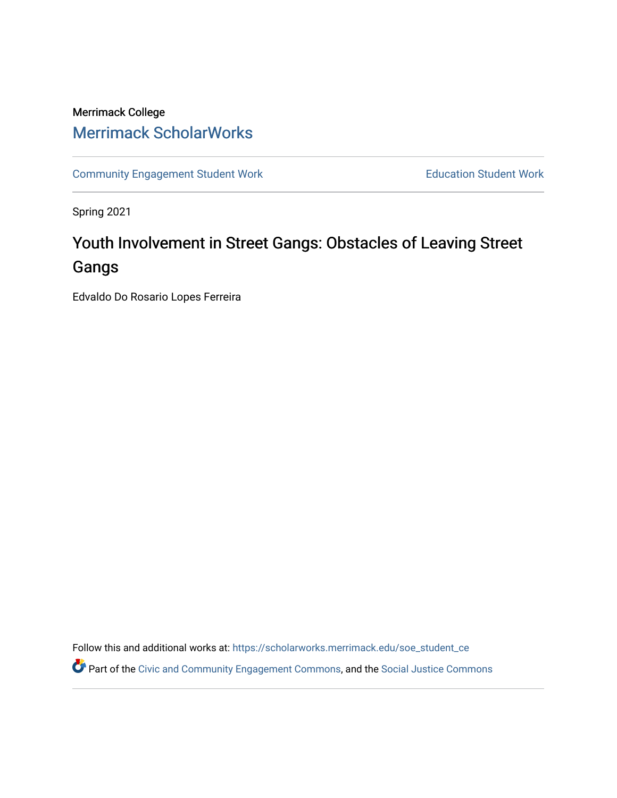# Merrimack College [Merrimack ScholarWorks](https://scholarworks.merrimack.edu/)

[Community Engagement Student Work](https://scholarworks.merrimack.edu/soe_student_ce) **Education Student Work** Education Student Work

Spring 2021

# Youth Involvement in Street Gangs: Obstacles of Leaving Street Gangs

Edvaldo Do Rosario Lopes Ferreira

Follow this and additional works at: [https://scholarworks.merrimack.edu/soe\\_student\\_ce](https://scholarworks.merrimack.edu/soe_student_ce?utm_source=scholarworks.merrimack.edu%2Fsoe_student_ce%2F57&utm_medium=PDF&utm_campaign=PDFCoverPages) 

Part of the [Civic and Community Engagement Commons](http://network.bepress.com/hgg/discipline/1028?utm_source=scholarworks.merrimack.edu%2Fsoe_student_ce%2F57&utm_medium=PDF&utm_campaign=PDFCoverPages), and the [Social Justice Commons](http://network.bepress.com/hgg/discipline/1432?utm_source=scholarworks.merrimack.edu%2Fsoe_student_ce%2F57&utm_medium=PDF&utm_campaign=PDFCoverPages)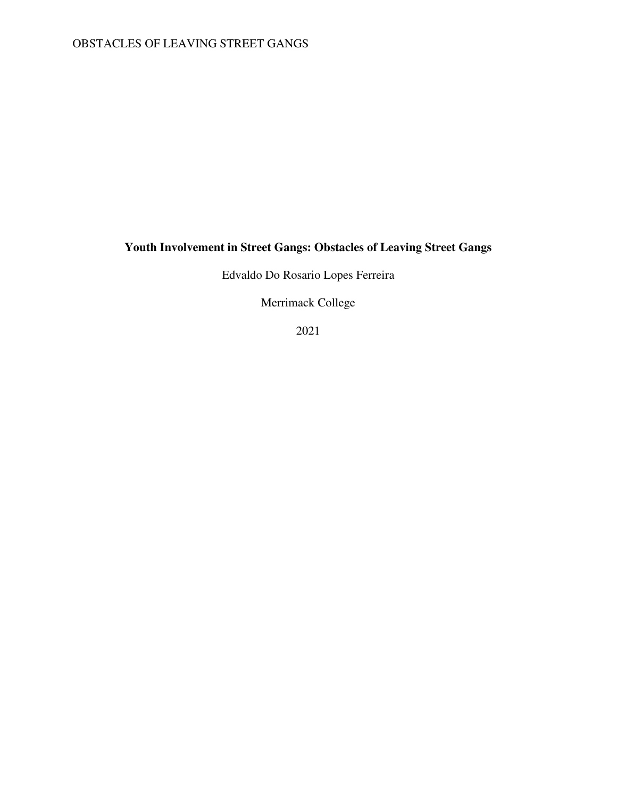### OBSTACLES OF LEAVING STREET GANGS

## **Youth Involvement in Street Gangs: Obstacles of Leaving Street Gangs**

Edvaldo Do Rosario Lopes Ferreira

Merrimack College

2021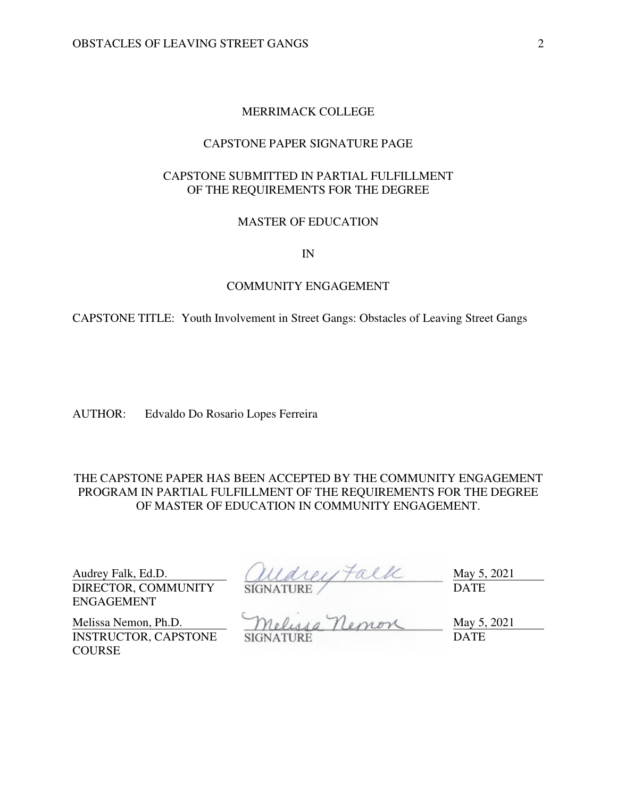### MERRIMACK COLLEGE

### CAPSTONE PAPER SIGNATURE PAGE

### CAPSTONE SUBMITTED IN PARTIAL FULFILLMENT OF THE REQUIREMENTS FOR THE DEGREE

### MASTER OF EDUCATION

IN

### COMMUNITY ENGAGEMENT

CAPSTONE TITLE: Youth Involvement in Street Gangs: Obstacles of Leaving Street Gangs

AUTHOR: Edvaldo Do Rosario Lopes Ferreira

THE CAPSTONE PAPER HAS BEEN ACCEPTED BY THE COMMUNITY ENGAGEMENT PROGRAM IN PARTIAL FULFILLMENT OF THE REQUIREMENTS FOR THE DEGREE OF MASTER OF EDUCATION IN COMMUNITY ENGAGEMENT.

DIRECTOR, COMMUNITY ENGAGEMENT

Audrey Falk, Ed.D.  $(11441) \uparrow \alpha$  ( $\alpha$ SIGNATURE DATE

INSTRUCTOR, CAPSTONE **COURSE** 

Melissa Nemon, Ph.D. Melussa Nemon May 5, 2021 SIGNATURE DATE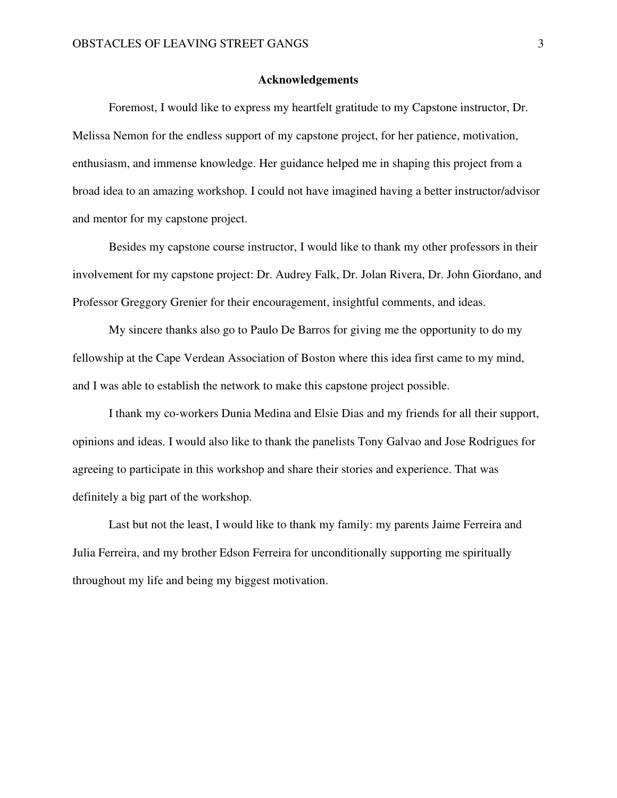### **Acknowledgements**

Foremost, I would like to express my heartfelt gratitude to my Capstone instructor, Dr. Melissa Nemon for the endless support of my capstone project, for her patience, motivation, enthusiasm, and immense knowledge. Her guidance helped me in shaping this project from a broad idea to an amazing workshop. I could not have imagined having a better instructor/advisor and mentor for my capstone project.

Besides my capstone course instructor, I would like to thank my other professors in their involvement for my capstone project: Dr. Audrey Falk, Dr. Jolan Rivera, Dr. John Giordano, and Professor Greggory Grenier for their encouragement, insightful comments, and ideas.

My sincere thanks also go to Paulo De Barros for giving me the opportunity to do my fellowship at the Cape Verdean Association of Boston where this idea first came to my mind, and I was able to establish the network to make this capstone project possible.

I thank my co-workers Dunia Medina and Elsie Dias and my friends for all their support, opinions and ideas. I would also like to thank the panelists Tony Galvao and Jose Rodrigues for agreeing to participate in this workshop and share their stories and experience. That was definitely a big part of the workshop.

Last but not the least, I would like to thank my family: my parents Jaime Ferreira and Julia Ferreira, and my brother Edson Ferreira for unconditionally supporting me spiritually throughout my life and being my biggest motivation.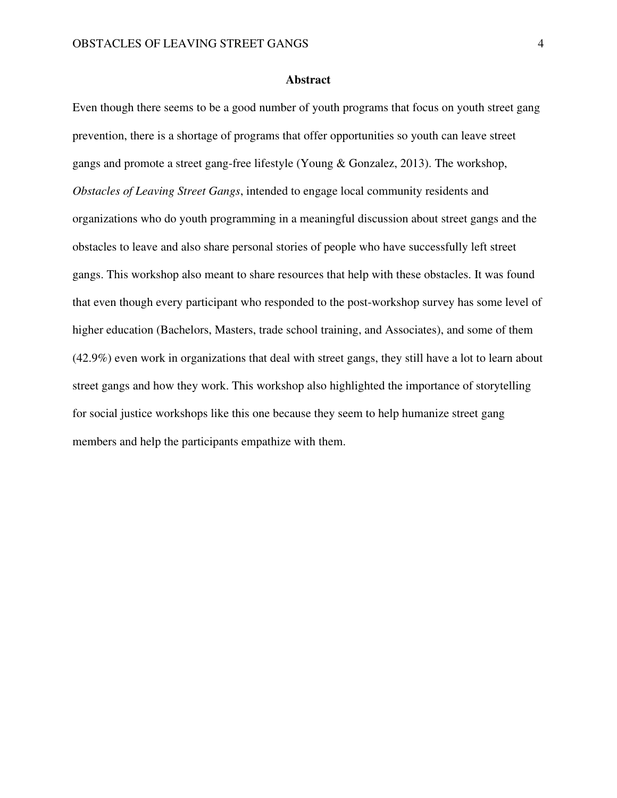### **Abstract**

Even though there seems to be a good number of youth programs that focus on youth street gang prevention, there is a shortage of programs that offer opportunities so youth can leave street gangs and promote a street gang-free lifestyle (Young & Gonzalez, 2013). The workshop, *Obstacles of Leaving Street Gangs*, intended to engage local community residents and organizations who do youth programming in a meaningful discussion about street gangs and the obstacles to leave and also share personal stories of people who have successfully left street gangs. This workshop also meant to share resources that help with these obstacles. It was found that even though every participant who responded to the post-workshop survey has some level of higher education (Bachelors, Masters, trade school training, and Associates), and some of them (42.9%) even work in organizations that deal with street gangs, they still have a lot to learn about street gangs and how they work. This workshop also highlighted the importance of storytelling for social justice workshops like this one because they seem to help humanize street gang members and help the participants empathize with them.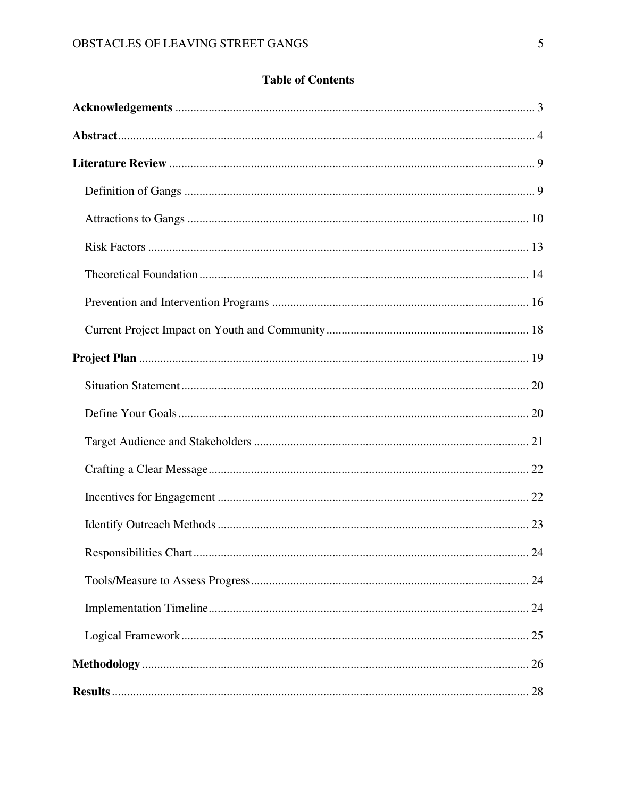### **Table of Contents**

| 24 |
|----|
|    |
|    |
|    |
|    |
|    |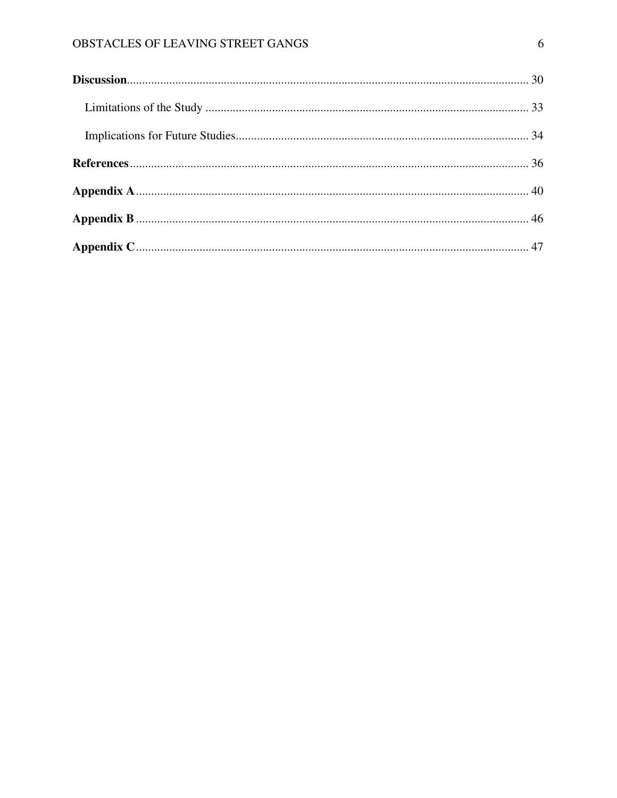### OBSTACLES OF LEAVING STREET GANGS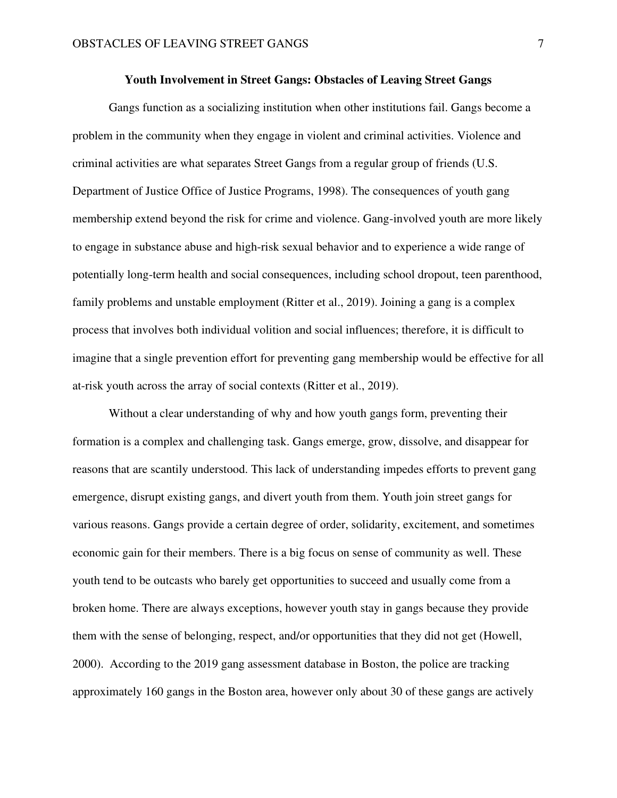### **Youth Involvement in Street Gangs: Obstacles of Leaving Street Gangs**

Gangs function as a socializing institution when other institutions fail. Gangs become a problem in the community when they engage in violent and criminal activities. Violence and criminal activities are what separates Street Gangs from a regular group of friends (U.S. Department of Justice Office of Justice Programs, 1998). The consequences of youth gang membership extend beyond the risk for crime and violence. Gang-involved youth are more likely to engage in substance abuse and high-risk sexual behavior and to experience a wide range of potentially long-term health and social consequences, including school dropout, teen parenthood, family problems and unstable employment (Ritter et al., 2019). Joining a gang is a complex process that involves both individual volition and social influences; therefore, it is difficult to imagine that a single prevention effort for preventing gang membership would be effective for all at-risk youth across the array of social contexts (Ritter et al., 2019).

 Without a clear understanding of why and how youth gangs form, preventing their formation is a complex and challenging task. Gangs emerge, grow, dissolve, and disappear for reasons that are scantily understood. This lack of understanding impedes efforts to prevent gang emergence, disrupt existing gangs, and divert youth from them. Youth join street gangs for various reasons. Gangs provide a certain degree of order, solidarity, excitement, and sometimes economic gain for their members. There is a big focus on sense of community as well. These youth tend to be outcasts who barely get opportunities to succeed and usually come from a broken home. There are always exceptions, however youth stay in gangs because they provide them with the sense of belonging, respect, and/or opportunities that they did not get (Howell, 2000). According to the 2019 gang assessment database in Boston, the police are tracking approximately 160 gangs in the Boston area, however only about 30 of these gangs are actively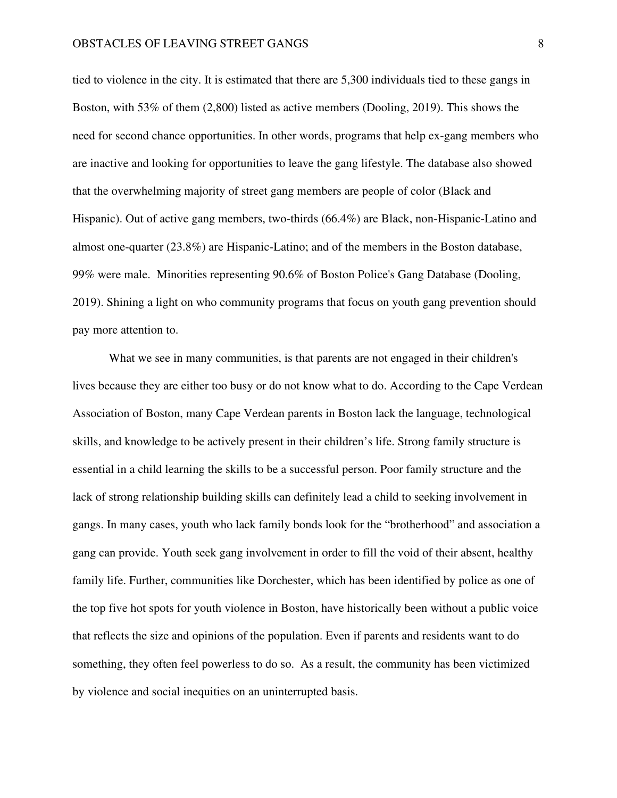tied to violence in the city. It is estimated that there are 5,300 individuals tied to these gangs in Boston, with 53% of them (2,800) listed as active members (Dooling, 2019). This shows the need for second chance opportunities. In other words, programs that help ex-gang members who are inactive and looking for opportunities to leave the gang lifestyle. The database also showed that the overwhelming majority of street gang members are people of color (Black and Hispanic). Out of active gang members, two-thirds (66.4%) are Black, non-Hispanic-Latino and almost one-quarter (23.8%) are Hispanic-Latino; and of the members in the Boston database, 99% were male. Minorities representing 90.6% of Boston Police's Gang Database (Dooling, 2019). Shining a light on who community programs that focus on youth gang prevention should pay more attention to.

 What we see in many communities, is that parents are not engaged in their children's lives because they are either too busy or do not know what to do. According to the Cape Verdean Association of Boston, many Cape Verdean parents in Boston lack the language, technological skills, and knowledge to be actively present in their children's life. Strong family structure is essential in a child learning the skills to be a successful person. Poor family structure and the lack of strong relationship building skills can definitely lead a child to seeking involvement in gangs. In many cases, youth who lack family bonds look for the "brotherhood" and association a gang can provide. Youth seek gang involvement in order to fill the void of their absent, healthy family life. Further, communities like Dorchester, which has been identified by police as one of the top five hot spots for youth violence in Boston, have historically been without a public voice that reflects the size and opinions of the population. Even if parents and residents want to do something, they often feel powerless to do so. As a result, the community has been victimized by violence and social inequities on an uninterrupted basis.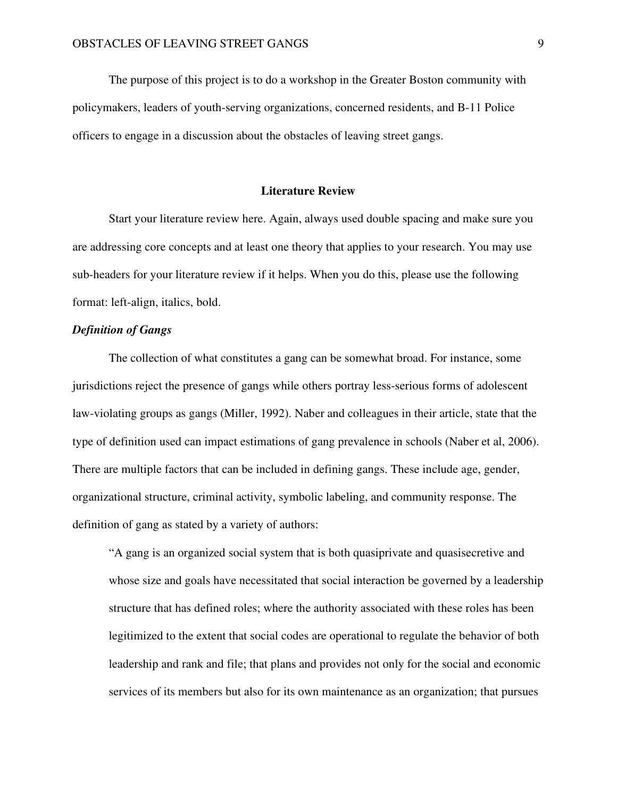The purpose of this project is to do a workshop in the Greater Boston community with policymakers, leaders of youth-serving organizations, concerned residents, and B-11 Police officers to engage in a discussion about the obstacles of leaving street gangs.

### **Literature Review**

 Start your literature review here. Again, always used double spacing and make sure you are addressing core concepts and at least one theory that applies to your research. You may use sub-headers for your literature review if it helps. When you do this, please use the following format: left-align, italics, bold.

### *Definition of Gangs*

The collection of what constitutes a gang can be somewhat broad. For instance, some jurisdictions reject the presence of gangs while others portray less-serious forms of adolescent law-violating groups as gangs (Miller, 1992). Naber and colleagues in their article, state that the type of definition used can impact estimations of gang prevalence in schools (Naber et al, 2006). There are multiple factors that can be included in defining gangs. These include age, gender, organizational structure, criminal activity, symbolic labeling, and community response. The definition of gang as stated by a variety of authors:

"A gang is an organized social system that is both quasiprivate and quasisecretive and whose size and goals have necessitated that social interaction be governed by a leadership structure that has defined roles; where the authority associated with these roles has been legitimized to the extent that social codes are operational to regulate the behavior of both leadership and rank and file; that plans and provides not only for the social and economic services of its members but also for its own maintenance as an organization; that pursues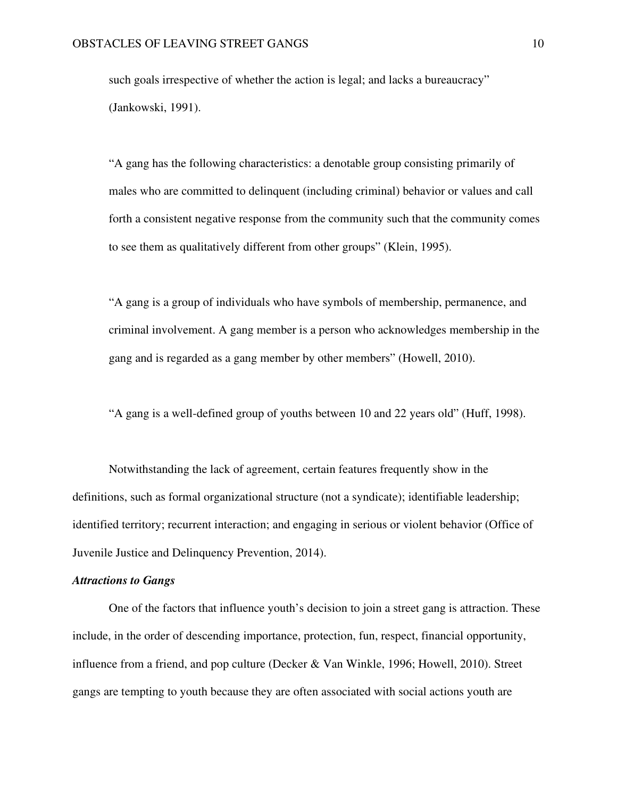such goals irrespective of whether the action is legal; and lacks a bureaucracy" (Jankowski, 1991).

"A gang has the following characteristics: a denotable group consisting primarily of males who are committed to delinquent (including criminal) behavior or values and call forth a consistent negative response from the community such that the community comes to see them as qualitatively different from other groups" (Klein, 1995).

"A gang is a group of individuals who have symbols of membership, permanence, and criminal involvement. A gang member is a person who acknowledges membership in the gang and is regarded as a gang member by other members" (Howell, 2010).

"A gang is a well-defined group of youths between 10 and 22 years old" (Huff, 1998).

Notwithstanding the lack of agreement, certain features frequently show in the definitions, such as formal organizational structure (not a syndicate); identifiable leadership; identified territory; recurrent interaction; and engaging in serious or violent behavior (Office of Juvenile Justice and Delinquency Prevention, 2014).

#### *Attractions to Gangs*

One of the factors that influence youth's decision to join a street gang is attraction. These include, in the order of descending importance, protection, fun, respect, financial opportunity, influence from a friend, and pop culture (Decker & Van Winkle, 1996; Howell, 2010). Street gangs are tempting to youth because they are often associated with social actions youth are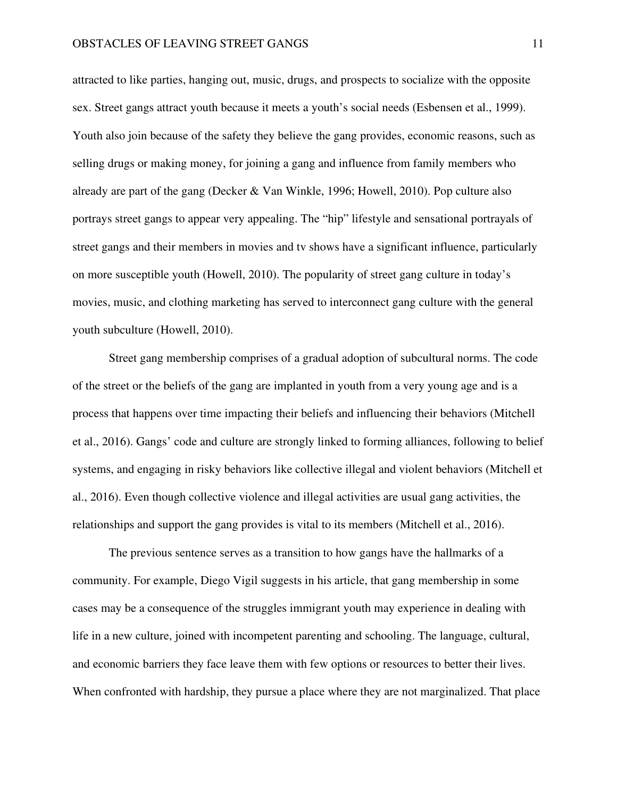attracted to like parties, hanging out, music, drugs, and prospects to socialize with the opposite sex. Street gangs attract youth because it meets a youth's social needs (Esbensen et al., 1999). Youth also join because of the safety they believe the gang provides, economic reasons, such as selling drugs or making money, for joining a gang and influence from family members who already are part of the gang (Decker & Van Winkle, 1996; Howell, 2010). Pop culture also portrays street gangs to appear very appealing. The "hip" lifestyle and sensational portrayals of street gangs and their members in movies and tv shows have a significant influence, particularly on more susceptible youth (Howell, 2010). The popularity of street gang culture in today's movies, music, and clothing marketing has served to interconnect gang culture with the general youth subculture (Howell, 2010).

Street gang membership comprises of a gradual adoption of subcultural norms. The code of the street or the beliefs of the gang are implanted in youth from a very young age and is a process that happens over time impacting their beliefs and influencing their behaviors (Mitchell et al., 2016). Gangs' code and culture are strongly linked to forming alliances, following to belief systems, and engaging in risky behaviors like collective illegal and violent behaviors (Mitchell et al., 2016). Even though collective violence and illegal activities are usual gang activities, the relationships and support the gang provides is vital to its members (Mitchell et al., 2016).

The previous sentence serves as a transition to how gangs have the hallmarks of a community. For example, Diego Vigil suggests in his article, that gang membership in some cases may be a consequence of the struggles immigrant youth may experience in dealing with life in a new culture, joined with incompetent parenting and schooling. The language, cultural, and economic barriers they face leave them with few options or resources to better their lives. When confronted with hardship, they pursue a place where they are not marginalized. That place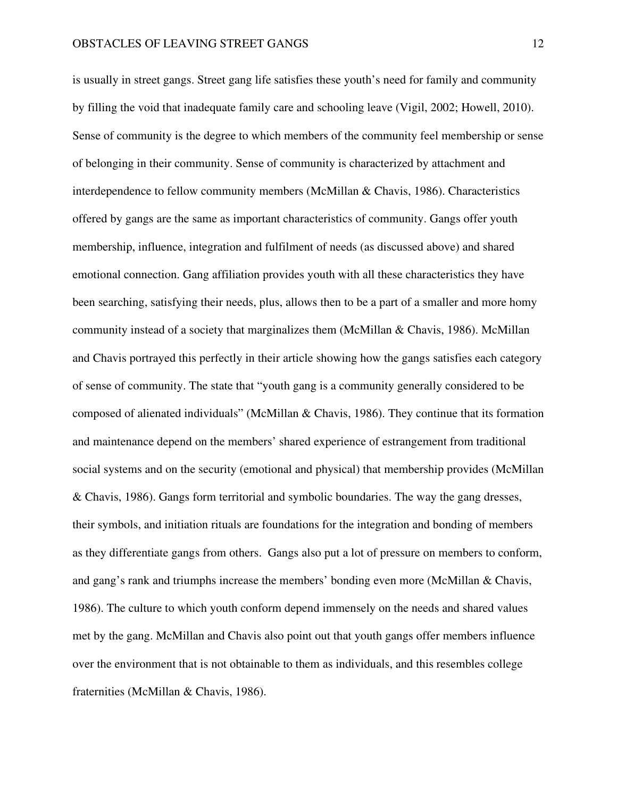is usually in street gangs. Street gang life satisfies these youth's need for family and community by filling the void that inadequate family care and schooling leave (Vigil, 2002; Howell, 2010). Sense of community is the degree to which members of the community feel membership or sense of belonging in their community. Sense of community is characterized by attachment and interdependence to fellow community members (McMillan & Chavis, 1986). Characteristics offered by gangs are the same as important characteristics of community. Gangs offer youth membership, influence, integration and fulfilment of needs (as discussed above) and shared emotional connection. Gang affiliation provides youth with all these characteristics they have been searching, satisfying their needs, plus, allows then to be a part of a smaller and more homy community instead of a society that marginalizes them (McMillan & Chavis, 1986). McMillan and Chavis portrayed this perfectly in their article showing how the gangs satisfies each category of sense of community. The state that "youth gang is a community generally considered to be composed of alienated individuals" (McMillan & Chavis, 1986). They continue that its formation and maintenance depend on the members' shared experience of estrangement from traditional social systems and on the security (emotional and physical) that membership provides (McMillan & Chavis, 1986). Gangs form territorial and symbolic boundaries. The way the gang dresses, their symbols, and initiation rituals are foundations for the integration and bonding of members as they differentiate gangs from others. Gangs also put a lot of pressure on members to conform, and gang's rank and triumphs increase the members' bonding even more (McMillan & Chavis, 1986). The culture to which youth conform depend immensely on the needs and shared values met by the gang. McMillan and Chavis also point out that youth gangs offer members influence over the environment that is not obtainable to them as individuals, and this resembles college fraternities (McMillan & Chavis, 1986).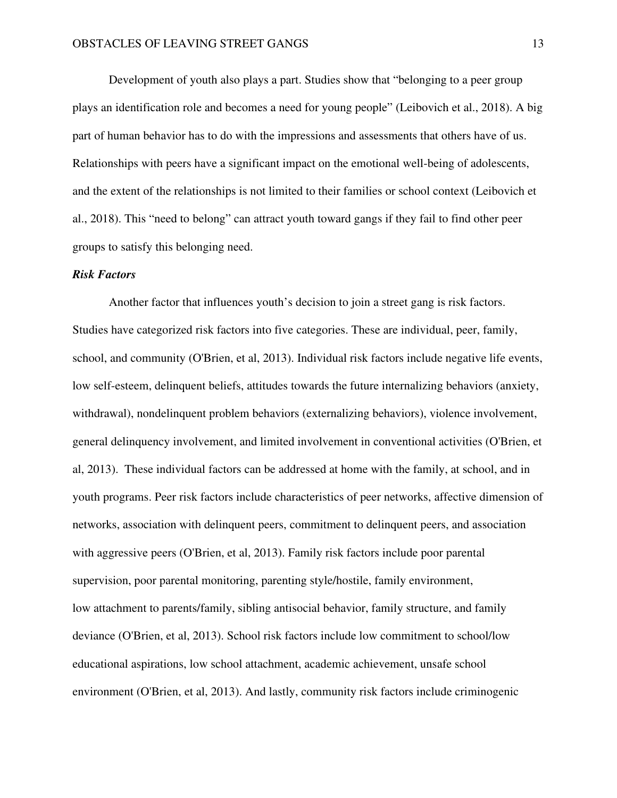Development of youth also plays a part. Studies show that "belonging to a peer group plays an identification role and becomes a need for young people" (Leibovich et al., 2018). A big part of human behavior has to do with the impressions and assessments that others have of us. Relationships with peers have a significant impact on the emotional well-being of adolescents, and the extent of the relationships is not limited to their families or school context (Leibovich et al., 2018). This "need to belong" can attract youth toward gangs if they fail to find other peer groups to satisfy this belonging need.

#### *Risk Factors*

 Another factor that influences youth's decision to join a street gang is risk factors. Studies have categorized risk factors into five categories. These are individual, peer, family, school, and community (O'Brien, et al, 2013). Individual risk factors include negative life events, low self-esteem, delinquent beliefs, attitudes towards the future internalizing behaviors (anxiety, withdrawal), nondelinquent problem behaviors (externalizing behaviors), violence involvement, general delinquency involvement, and limited involvement in conventional activities (O'Brien, et al, 2013). These individual factors can be addressed at home with the family, at school, and in youth programs. Peer risk factors include characteristics of peer networks, affective dimension of networks, association with delinquent peers, commitment to delinquent peers, and association with aggressive peers (O'Brien, et al, 2013). Family risk factors include poor parental supervision, poor parental monitoring, parenting style/hostile, family environment, low attachment to parents/family, sibling antisocial behavior, family structure, and family deviance (O'Brien, et al, 2013). School risk factors include low commitment to school/low educational aspirations, low school attachment, academic achievement, unsafe school environment (O'Brien, et al, 2013). And lastly, community risk factors include criminogenic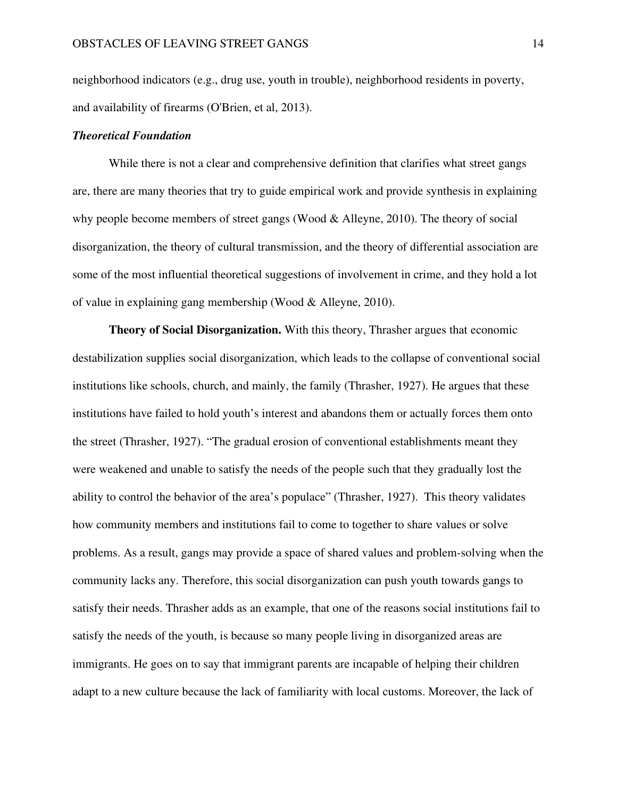neighborhood indicators (e.g., drug use, youth in trouble), neighborhood residents in poverty, and availability of firearms (O'Brien, et al, 2013).

### *Theoretical Foundation*

While there is not a clear and comprehensive definition that clarifies what street gangs are, there are many theories that try to guide empirical work and provide synthesis in explaining why people become members of street gangs (Wood & Alleyne, 2010). The theory of social disorganization, the theory of cultural transmission, and the theory of differential association are some of the most influential theoretical suggestions of involvement in crime, and they hold a lot of value in explaining gang membership (Wood & Alleyne, 2010).

 **Theory of Social Disorganization.** With this theory, Thrasher argues that economic destabilization supplies social disorganization, which leads to the collapse of conventional social institutions like schools, church, and mainly, the family (Thrasher, 1927). He argues that these institutions have failed to hold youth's interest and abandons them or actually forces them onto the street (Thrasher, 1927). "The gradual erosion of conventional establishments meant they were weakened and unable to satisfy the needs of the people such that they gradually lost the ability to control the behavior of the area's populace" (Thrasher, 1927). This theory validates how community members and institutions fail to come to together to share values or solve problems. As a result, gangs may provide a space of shared values and problem-solving when the community lacks any. Therefore, this social disorganization can push youth towards gangs to satisfy their needs. Thrasher adds as an example, that one of the reasons social institutions fail to satisfy the needs of the youth, is because so many people living in disorganized areas are immigrants. He goes on to say that immigrant parents are incapable of helping their children adapt to a new culture because the lack of familiarity with local customs. Moreover, the lack of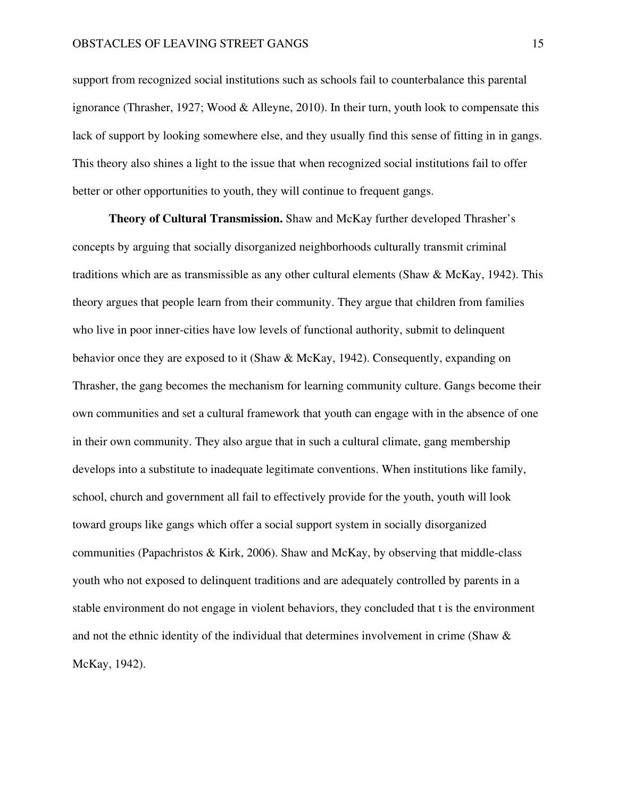support from recognized social institutions such as schools fail to counterbalance this parental ignorance (Thrasher, 1927; Wood & Alleyne, 2010). In their turn, youth look to compensate this lack of support by looking somewhere else, and they usually find this sense of fitting in in gangs. This theory also shines a light to the issue that when recognized social institutions fail to offer better or other opportunities to youth, they will continue to frequent gangs.

**Theory of Cultural Transmission.** Shaw and McKay further developed Thrasher's concepts by arguing that socially disorganized neighborhoods culturally transmit criminal traditions which are as transmissible as any other cultural elements (Shaw & McKay, 1942). This theory argues that people learn from their community. They argue that children from families who live in poor inner-cities have low levels of functional authority, submit to delinquent behavior once they are exposed to it (Shaw & McKay, 1942). Consequently, expanding on Thrasher, the gang becomes the mechanism for learning community culture. Gangs become their own communities and set a cultural framework that youth can engage with in the absence of one in their own community. They also argue that in such a cultural climate, gang membership develops into a substitute to inadequate legitimate conventions. When institutions like family, school, church and government all fail to effectively provide for the youth, youth will look toward groups like gangs which offer a social support system in socially disorganized communities (Papachristos & Kirk, 2006). Shaw and McKay, by observing that middle-class youth who not exposed to delinquent traditions and are adequately controlled by parents in a stable environment do not engage in violent behaviors, they concluded that t is the environment and not the ethnic identity of the individual that determines involvement in crime (Shaw  $\&$ McKay, 1942).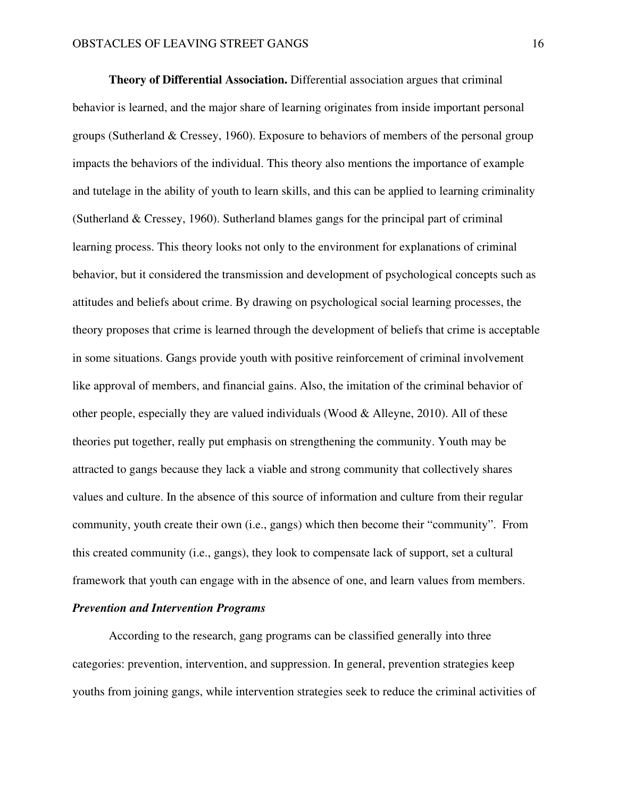**Theory of Differential Association.** Differential association argues that criminal behavior is learned, and the major share of learning originates from inside important personal groups (Sutherland & Cressey, 1960). Exposure to behaviors of members of the personal group impacts the behaviors of the individual. This theory also mentions the importance of example and tutelage in the ability of youth to learn skills, and this can be applied to learning criminality (Sutherland & Cressey, 1960). Sutherland blames gangs for the principal part of criminal learning process. This theory looks not only to the environment for explanations of criminal behavior, but it considered the transmission and development of psychological concepts such as attitudes and beliefs about crime. By drawing on psychological social learning processes, the theory proposes that crime is learned through the development of beliefs that crime is acceptable in some situations. Gangs provide youth with positive reinforcement of criminal involvement like approval of members, and financial gains. Also, the imitation of the criminal behavior of other people, especially they are valued individuals (Wood & Alleyne, 2010). All of these theories put together, really put emphasis on strengthening the community. Youth may be attracted to gangs because they lack a viable and strong community that collectively shares values and culture. In the absence of this source of information and culture from their regular community, youth create their own (i.e., gangs) which then become their "community". From this created community (i.e., gangs), they look to compensate lack of support, set a cultural framework that youth can engage with in the absence of one, and learn values from members.

### *Prevention and Intervention Programs*

According to the research, gang programs can be classified generally into three categories: prevention, intervention, and suppression. In general, prevention strategies keep youths from joining gangs, while intervention strategies seek to reduce the criminal activities of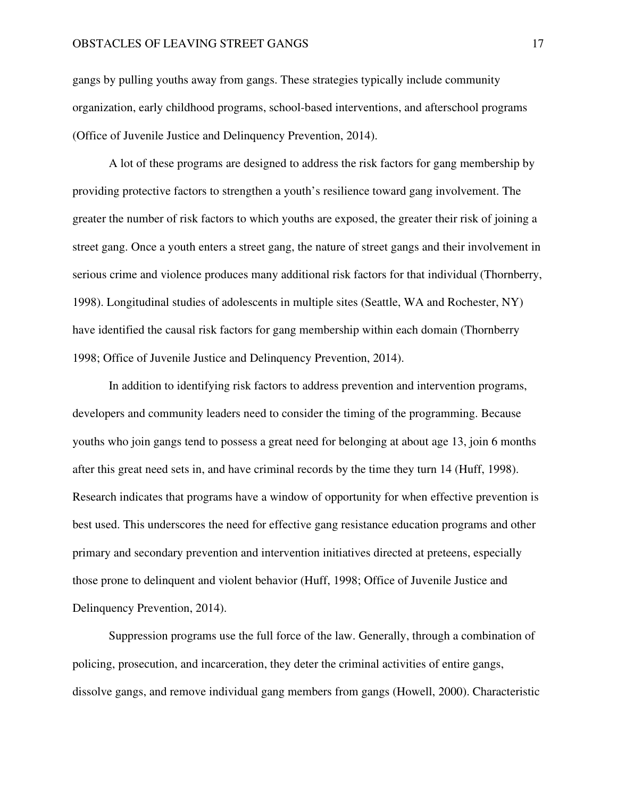gangs by pulling youths away from gangs. These strategies typically include community organization, early childhood programs, school-based interventions, and afterschool programs (Office of Juvenile Justice and Delinquency Prevention, 2014).

A lot of these programs are designed to address the risk factors for gang membership by providing protective factors to strengthen a youth's resilience toward gang involvement. The greater the number of risk factors to which youths are exposed, the greater their risk of joining a street gang. Once a youth enters a street gang, the nature of street gangs and their involvement in serious crime and violence produces many additional risk factors for that individual (Thornberry, 1998). Longitudinal studies of adolescents in multiple sites (Seattle, WA and Rochester, NY) have identified the causal risk factors for gang membership within each domain (Thornberry 1998; Office of Juvenile Justice and Delinquency Prevention, 2014).

In addition to identifying risk factors to address prevention and intervention programs, developers and community leaders need to consider the timing of the programming. Because youths who join gangs tend to possess a great need for belonging at about age 13, join 6 months after this great need sets in, and have criminal records by the time they turn 14 (Huff, 1998). Research indicates that programs have a window of opportunity for when effective prevention is best used. This underscores the need for effective gang resistance education programs and other primary and secondary prevention and intervention initiatives directed at preteens, especially those prone to delinquent and violent behavior (Huff, 1998; Office of Juvenile Justice and Delinquency Prevention, 2014).

Suppression programs use the full force of the law. Generally, through a combination of policing, prosecution, and incarceration, they deter the criminal activities of entire gangs, dissolve gangs, and remove individual gang members from gangs (Howell, 2000). Characteristic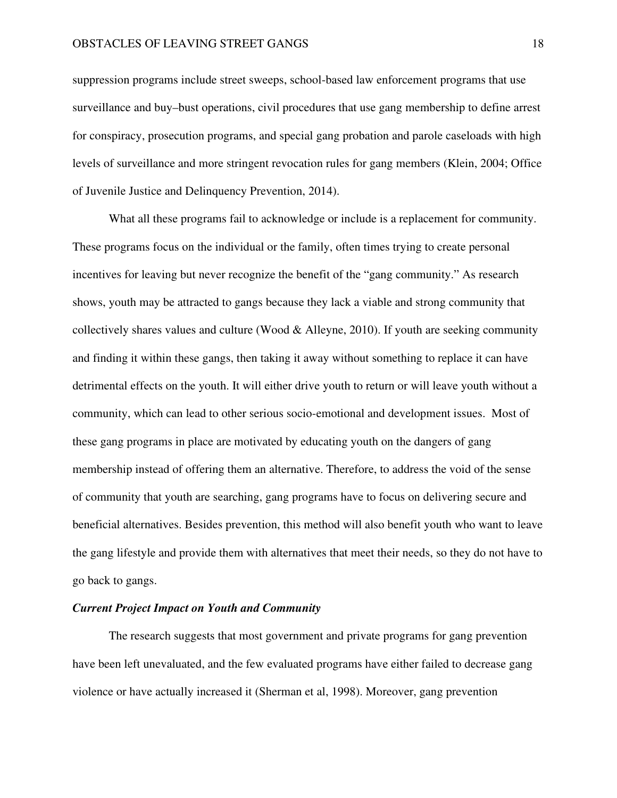suppression programs include street sweeps, school-based law enforcement programs that use surveillance and buy–bust operations, civil procedures that use gang membership to define arrest for conspiracy, prosecution programs, and special gang probation and parole caseloads with high levels of surveillance and more stringent revocation rules for gang members (Klein, 2004; Office of Juvenile Justice and Delinquency Prevention, 2014).

 What all these programs fail to acknowledge or include is a replacement for community. These programs focus on the individual or the family, often times trying to create personal incentives for leaving but never recognize the benefit of the "gang community." As research shows, youth may be attracted to gangs because they lack a viable and strong community that collectively shares values and culture (Wood  $\&$  Alleyne, 2010). If youth are seeking community and finding it within these gangs, then taking it away without something to replace it can have detrimental effects on the youth. It will either drive youth to return or will leave youth without a community, which can lead to other serious socio-emotional and development issues. Most of these gang programs in place are motivated by educating youth on the dangers of gang membership instead of offering them an alternative. Therefore, to address the void of the sense of community that youth are searching, gang programs have to focus on delivering secure and beneficial alternatives. Besides prevention, this method will also benefit youth who want to leave the gang lifestyle and provide them with alternatives that meet their needs, so they do not have to go back to gangs.

### *Current Project Impact on Youth and Community*

The research suggests that most government and private programs for gang prevention have been left unevaluated, and the few evaluated programs have either failed to decrease gang violence or have actually increased it (Sherman et al, 1998). Moreover, gang prevention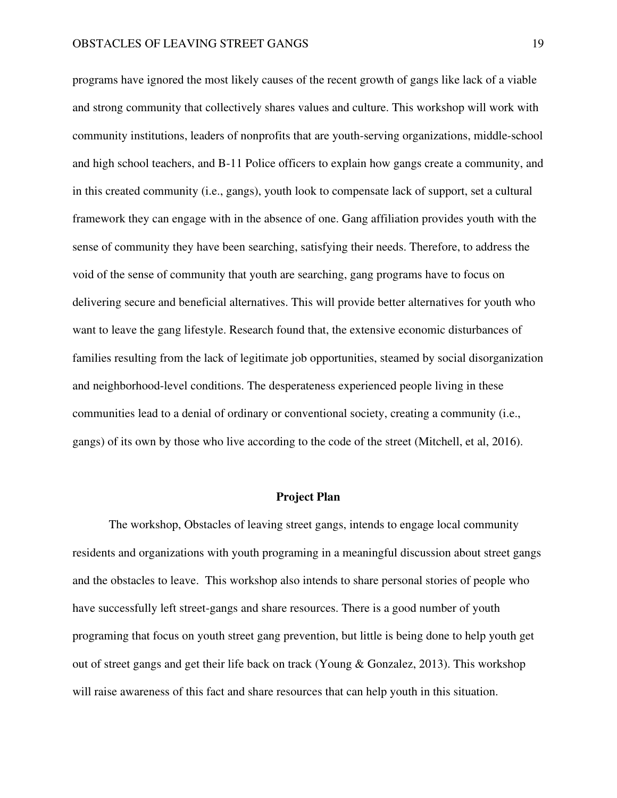programs have ignored the most likely causes of the recent growth of gangs like lack of a viable and strong community that collectively shares values and culture. This workshop will work with community institutions, leaders of nonprofits that are youth-serving organizations, middle-school and high school teachers, and B-11 Police officers to explain how gangs create a community, and in this created community (i.e., gangs), youth look to compensate lack of support, set a cultural framework they can engage with in the absence of one. Gang affiliation provides youth with the sense of community they have been searching, satisfying their needs. Therefore, to address the void of the sense of community that youth are searching, gang programs have to focus on delivering secure and beneficial alternatives. This will provide better alternatives for youth who want to leave the gang lifestyle. Research found that, the extensive economic disturbances of families resulting from the lack of legitimate job opportunities, steamed by social disorganization and neighborhood-level conditions. The desperateness experienced people living in these communities lead to a denial of ordinary or conventional society, creating a community (i.e., gangs) of its own by those who live according to the code of the street (Mitchell, et al, 2016).

#### **Project Plan**

 The workshop, Obstacles of leaving street gangs, intends to engage local community residents and organizations with youth programing in a meaningful discussion about street gangs and the obstacles to leave. This workshop also intends to share personal stories of people who have successfully left street-gangs and share resources. There is a good number of youth programing that focus on youth street gang prevention, but little is being done to help youth get out of street gangs and get their life back on track (Young & Gonzalez, 2013). This workshop will raise awareness of this fact and share resources that can help youth in this situation.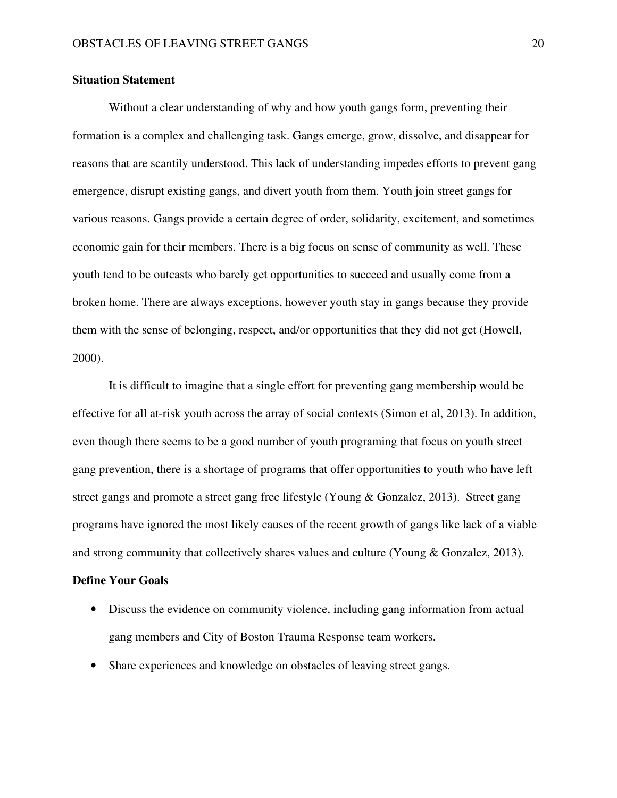### **Situation Statement**

Without a clear understanding of why and how youth gangs form, preventing their formation is a complex and challenging task. Gangs emerge, grow, dissolve, and disappear for reasons that are scantily understood. This lack of understanding impedes efforts to prevent gang emergence, disrupt existing gangs, and divert youth from them. Youth join street gangs for various reasons. Gangs provide a certain degree of order, solidarity, excitement, and sometimes economic gain for their members. There is a big focus on sense of community as well. These youth tend to be outcasts who barely get opportunities to succeed and usually come from a broken home. There are always exceptions, however youth stay in gangs because they provide them with the sense of belonging, respect, and/or opportunities that they did not get (Howell, 2000).

 It is difficult to imagine that a single effort for preventing gang membership would be effective for all at-risk youth across the array of social contexts (Simon et al, 2013). In addition, even though there seems to be a good number of youth programing that focus on youth street gang prevention, there is a shortage of programs that offer opportunities to youth who have left street gangs and promote a street gang free lifestyle (Young & Gonzalez, 2013). Street gang programs have ignored the most likely causes of the recent growth of gangs like lack of a viable and strong community that collectively shares values and culture (Young & Gonzalez, 2013).

#### **Define Your Goals**

- Discuss the evidence on community violence, including gang information from actual gang members and City of Boston Trauma Response team workers.
- Share experiences and knowledge on obstacles of leaving street gangs.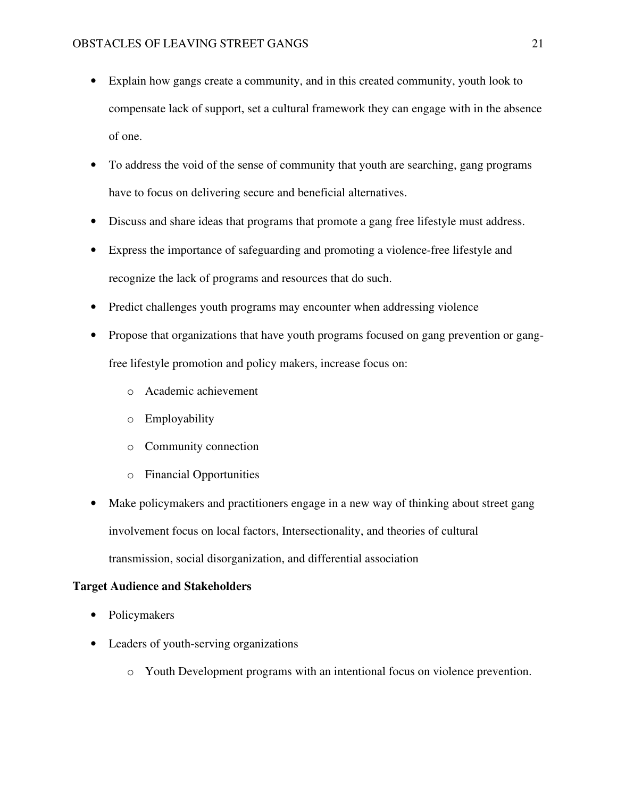- Explain how gangs create a community, and in this created community, youth look to compensate lack of support, set a cultural framework they can engage with in the absence of one.
- To address the void of the sense of community that youth are searching, gang programs have to focus on delivering secure and beneficial alternatives.
- Discuss and share ideas that programs that promote a gang free lifestyle must address.
- Express the importance of safeguarding and promoting a violence-free lifestyle and recognize the lack of programs and resources that do such.
- Predict challenges youth programs may encounter when addressing violence
- Propose that organizations that have youth programs focused on gang prevention or gangfree lifestyle promotion and policy makers, increase focus on:
	- o Academic achievement
	- o Employability
	- o Community connection
	- o Financial Opportunities
- Make policymakers and practitioners engage in a new way of thinking about street gang involvement focus on local factors, Intersectionality, and theories of cultural transmission, social disorganization, and differential association

### **Target Audience and Stakeholders**

- Policymakers
- Leaders of youth-serving organizations
	- o Youth Development programs with an intentional focus on violence prevention.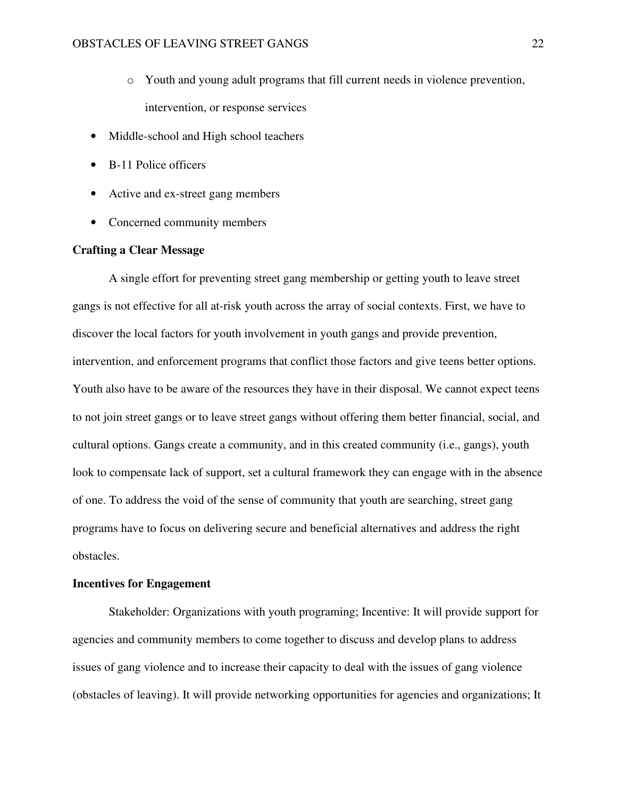- o Youth and young adult programs that fill current needs in violence prevention, intervention, or response services
- Middle-school and High school teachers
- B-11 Police officers
- Active and ex-street gang members
- Concerned community members

### **Crafting a Clear Message**

A single effort for preventing street gang membership or getting youth to leave street gangs is not effective for all at-risk youth across the array of social contexts. First, we have to discover the local factors for youth involvement in youth gangs and provide prevention, intervention, and enforcement programs that conflict those factors and give teens better options. Youth also have to be aware of the resources they have in their disposal. We cannot expect teens to not join street gangs or to leave street gangs without offering them better financial, social, and cultural options. Gangs create a community, and in this created community (i.e., gangs), youth look to compensate lack of support, set a cultural framework they can engage with in the absence of one. To address the void of the sense of community that youth are searching, street gang programs have to focus on delivering secure and beneficial alternatives and address the right obstacles.

### **Incentives for Engagement**

Stakeholder: Organizations with youth programing; Incentive: It will provide support for agencies and community members to come together to discuss and develop plans to address issues of gang violence and to increase their capacity to deal with the issues of gang violence (obstacles of leaving). It will provide networking opportunities for agencies and organizations; It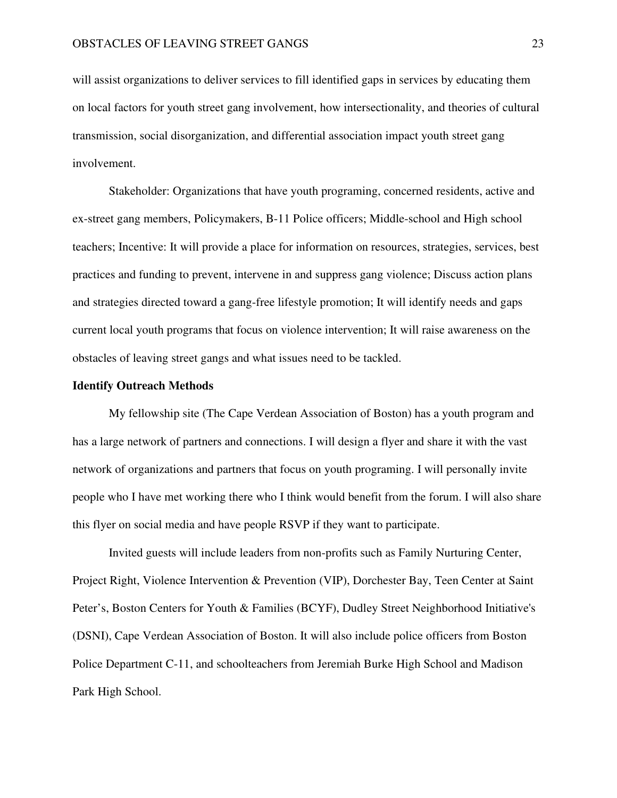will assist organizations to deliver services to fill identified gaps in services by educating them on local factors for youth street gang involvement, how intersectionality, and theories of cultural transmission, social disorganization, and differential association impact youth street gang involvement.

Stakeholder: Organizations that have youth programing, concerned residents, active and ex-street gang members, Policymakers, B-11 Police officers; Middle-school and High school teachers; Incentive: It will provide a place for information on resources, strategies, services, best practices and funding to prevent, intervene in and suppress gang violence; Discuss action plans and strategies directed toward a gang-free lifestyle promotion; It will identify needs and gaps current local youth programs that focus on violence intervention; It will raise awareness on the obstacles of leaving street gangs and what issues need to be tackled.

#### **Identify Outreach Methods**

My fellowship site (The Cape Verdean Association of Boston) has a youth program and has a large network of partners and connections. I will design a flyer and share it with the vast network of organizations and partners that focus on youth programing. I will personally invite people who I have met working there who I think would benefit from the forum. I will also share this flyer on social media and have people RSVP if they want to participate.

Invited guests will include leaders from non-profits such as Family Nurturing Center, Project Right, Violence Intervention & Prevention (VIP), Dorchester Bay, Teen Center at Saint Peter's, Boston Centers for Youth & Families (BCYF), Dudley Street Neighborhood Initiative's (DSNI), Cape Verdean Association of Boston. It will also include police officers from Boston Police Department C-11, and schoolteachers from Jeremiah Burke High School and Madison Park High School.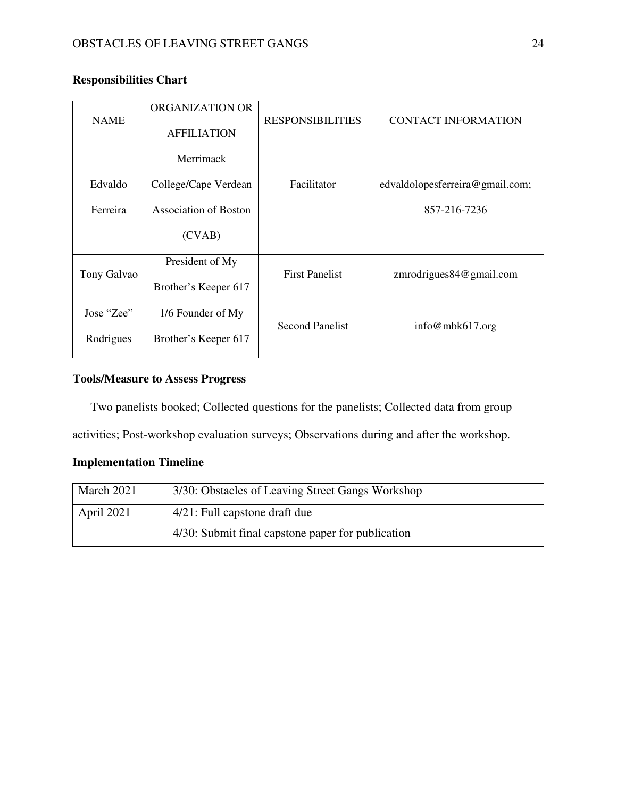| <b>NAME</b> | ORGANIZATION OR<br><b>AFFILIATION</b> | <b>RESPONSIBILITIES</b> | <b>CONTACT INFORMATION</b>      |
|-------------|---------------------------------------|-------------------------|---------------------------------|
|             | Merrimack                             |                         |                                 |
| Edvaldo     | College/Cape Verdean                  | Facilitator             | edvaldolopesferreira@gmail.com; |
| Ferreira    | Association of Boston                 |                         | 857-216-7236                    |
|             | (CVAB)                                |                         |                                 |
| Tony Galvao | President of My                       | <b>First Panelist</b>   | zmrodrigues84@gmail.com         |
|             | Brother's Keeper 617                  |                         |                                 |
| Jose "Zee"  | 1/6 Founder of My                     | <b>Second Panelist</b>  |                                 |
| Rodrigues   | Brother's Keeper 617                  |                         | info@mbk617.org                 |

### **Responsibilities Chart**

### **Tools/Measure to Assess Progress**

Two panelists booked; Collected questions for the panelists; Collected data from group

activities; Post-workshop evaluation surveys; Observations during and after the workshop.

### **Implementation Timeline**

| March 2021 | 3/30: Obstacles of Leaving Street Gangs Workshop  |
|------------|---------------------------------------------------|
| April 2021 | 4/21: Full capstone draft due                     |
|            | 4/30: Submit final capstone paper for publication |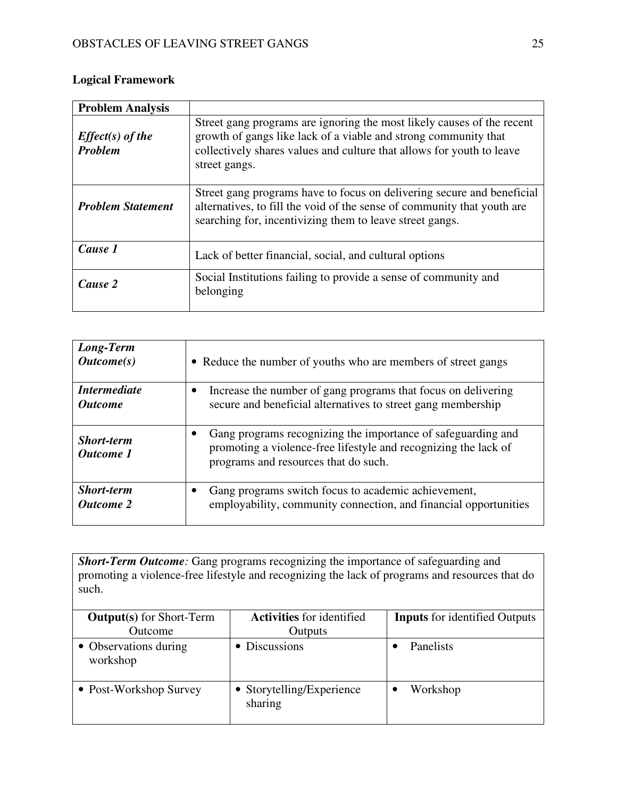## **Logical Framework**

| <b>Problem Analysis</b>              |                                                                                                                                                                                                                                     |
|--------------------------------------|-------------------------------------------------------------------------------------------------------------------------------------------------------------------------------------------------------------------------------------|
| $Effect(s)$ of the<br><b>Problem</b> | Street gang programs are ignoring the most likely causes of the recent<br>growth of gangs like lack of a viable and strong community that<br>collectively shares values and culture that allows for youth to leave<br>street gangs. |
| <b>Problem Statement</b>             | Street gang programs have to focus on delivering secure and beneficial<br>alternatives, to fill the void of the sense of community that youth are<br>searching for, incentivizing them to leave street gangs.                       |
| Cause 1                              | Lack of better financial, social, and cultural options                                                                                                                                                                              |
| Cause 2                              | Social Institutions failing to provide a sense of community and<br>belonging                                                                                                                                                        |

| Long-Term<br>$\textit{Outcome}(s)$    | • Reduce the number of youths who are members of street gangs                                                                                                           |
|---------------------------------------|-------------------------------------------------------------------------------------------------------------------------------------------------------------------------|
| <i>Intermediate</i>                   | Increase the number of gang programs that focus on delivering                                                                                                           |
| <i><b>Outcome</b></i>                 | secure and beneficial alternatives to street gang membership                                                                                                            |
| <b>Short-term</b><br><b>Outcome</b> 1 | Gang programs recognizing the importance of safeguarding and<br>promoting a violence-free lifestyle and recognizing the lack of<br>programs and resources that do such. |
| <b>Short-term</b>                     | Gang programs switch focus to academic achievement,                                                                                                                     |
| <b>Outcome 2</b>                      | employability, community connection, and financial opportunities                                                                                                        |

**Short-Term Outcome**: Gang programs recognizing the importance of safeguarding and promoting a violence-free lifestyle and recognizing the lack of programs and resources that do such.

| <b>Output(s)</b> for Short-Term   | <b>Activities</b> for identified     | <b>Inputs</b> for identified Outputs |
|-----------------------------------|--------------------------------------|--------------------------------------|
| Outcome                           | Outputs                              |                                      |
| • Observations during<br>workshop | • Discussions                        | Panelists                            |
| • Post-Workshop Survey            | • Storytelling/Experience<br>sharing | Workshop                             |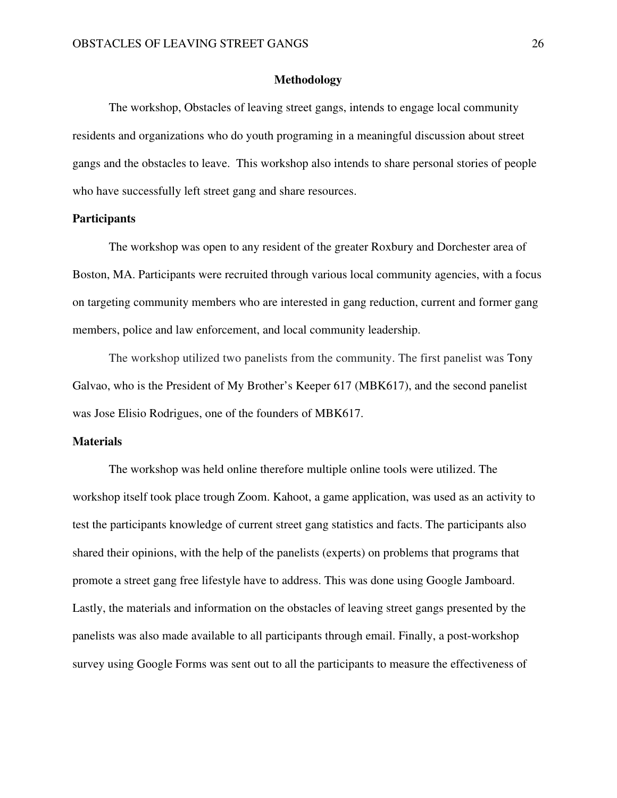### **Methodology**

The workshop, Obstacles of leaving street gangs, intends to engage local community residents and organizations who do youth programing in a meaningful discussion about street gangs and the obstacles to leave. This workshop also intends to share personal stories of people who have successfully left street gang and share resources.

### **Participants**

 The workshop was open to any resident of the greater Roxbury and Dorchester area of Boston, MA. Participants were recruited through various local community agencies, with a focus on targeting community members who are interested in gang reduction, current and former gang members, police and law enforcement, and local community leadership.

 The workshop utilized two panelists from the community. The first panelist was Tony Galvao, who is the President of My Brother's Keeper 617 (MBK617), and the second panelist was Jose Elisio Rodrigues, one of the founders of MBK617.

### **Materials**

 The workshop was held online therefore multiple online tools were utilized. The workshop itself took place trough Zoom. Kahoot, a game application, was used as an activity to test the participants knowledge of current street gang statistics and facts. The participants also shared their opinions, with the help of the panelists (experts) on problems that programs that promote a street gang free lifestyle have to address. This was done using Google Jamboard. Lastly, the materials and information on the obstacles of leaving street gangs presented by the panelists was also made available to all participants through email. Finally, a post-workshop survey using Google Forms was sent out to all the participants to measure the effectiveness of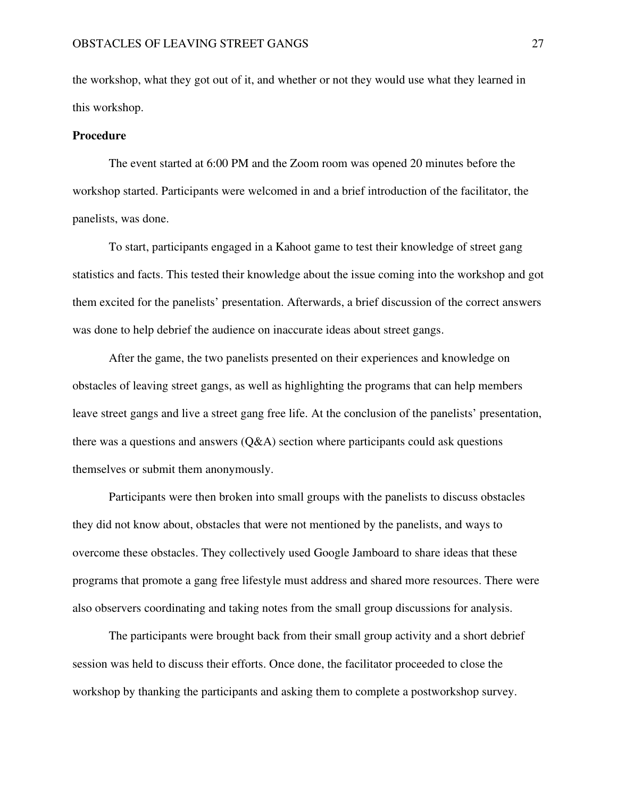the workshop, what they got out of it, and whether or not they would use what they learned in this workshop.

#### **Procedure**

 The event started at 6:00 PM and the Zoom room was opened 20 minutes before the workshop started. Participants were welcomed in and a brief introduction of the facilitator, the panelists, was done.

 To start, participants engaged in a Kahoot game to test their knowledge of street gang statistics and facts. This tested their knowledge about the issue coming into the workshop and got them excited for the panelists' presentation. Afterwards, a brief discussion of the correct answers was done to help debrief the audience on inaccurate ideas about street gangs.

 After the game, the two panelists presented on their experiences and knowledge on obstacles of leaving street gangs, as well as highlighting the programs that can help members leave street gangs and live a street gang free life. At the conclusion of the panelists' presentation, there was a questions and answers  $(Q&A)$  section where participants could ask questions themselves or submit them anonymously.

 Participants were then broken into small groups with the panelists to discuss obstacles they did not know about, obstacles that were not mentioned by the panelists, and ways to overcome these obstacles. They collectively used Google Jamboard to share ideas that these programs that promote a gang free lifestyle must address and shared more resources. There were also observers coordinating and taking notes from the small group discussions for analysis.

 The participants were brought back from their small group activity and a short debrief session was held to discuss their efforts. Once done, the facilitator proceeded to close the workshop by thanking the participants and asking them to complete a postworkshop survey.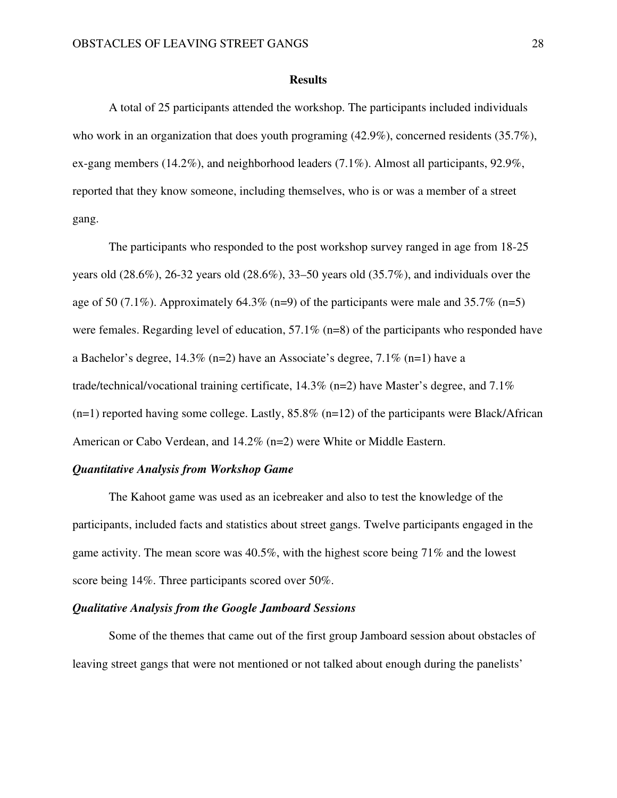#### **Results**

 A total of 25 participants attended the workshop. The participants included individuals who work in an organization that does youth programing  $(42.9\%)$ , concerned residents  $(35.7\%)$ , ex-gang members (14.2%), and neighborhood leaders (7.1%). Almost all participants, 92.9%, reported that they know someone, including themselves, who is or was a member of a street gang.

 The participants who responded to the post workshop survey ranged in age from 18-25 years old  $(28.6\%)$ ,  $26-32$  years old  $(28.6\%)$ ,  $33-50$  years old  $(35.7\%)$ , and individuals over the age of 50 (7.1%). Approximately 64.3% (n=9) of the participants were male and 35.7% (n=5) were females. Regarding level of education, 57.1% (n=8) of the participants who responded have a Bachelor's degree,  $14.3\%$  (n=2) have an Associate's degree,  $7.1\%$  (n=1) have a trade/technical/vocational training certificate,  $14.3\%$  (n=2) have Master's degree, and  $7.1\%$  $(n=1)$  reported having some college. Lastly, 85.8%  $(n=12)$  of the participants were Black/African American or Cabo Verdean, and 14.2% (n=2) were White or Middle Eastern.

### *Quantitative Analysis from Workshop Game*

 The Kahoot game was used as an icebreaker and also to test the knowledge of the participants, included facts and statistics about street gangs. Twelve participants engaged in the game activity. The mean score was 40.5%, with the highest score being 71% and the lowest score being 14%. Three participants scored over 50%.

### *Qualitative Analysis from the Google Jamboard Sessions*

Some of the themes that came out of the first group Jamboard session about obstacles of leaving street gangs that were not mentioned or not talked about enough during the panelists'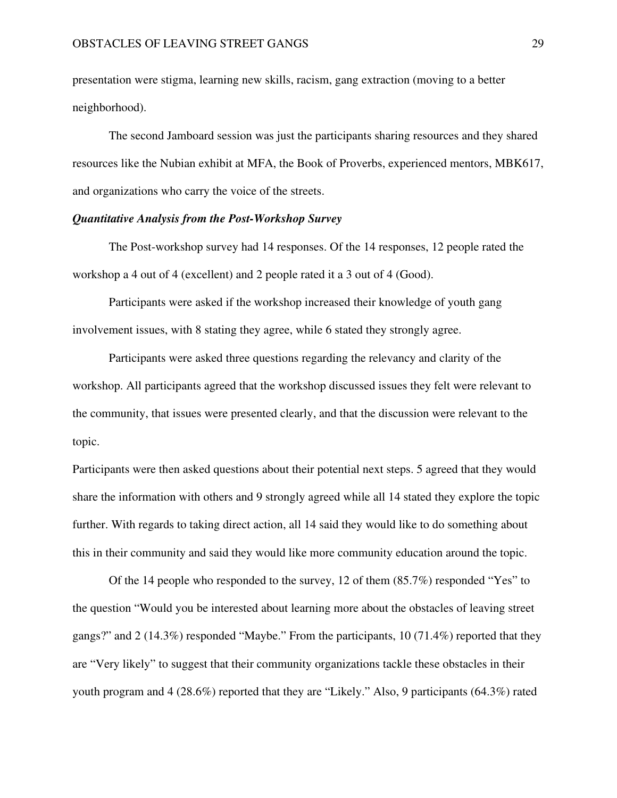presentation were stigma, learning new skills, racism, gang extraction (moving to a better neighborhood).

The second Jamboard session was just the participants sharing resources and they shared resources like the Nubian exhibit at MFA, the Book of Proverbs, experienced mentors, MBK617, and organizations who carry the voice of the streets.

### *Quantitative Analysis from the Post-Workshop Survey*

 The Post-workshop survey had 14 responses. Of the 14 responses, 12 people rated the workshop a 4 out of 4 (excellent) and 2 people rated it a 3 out of 4 (Good).

Participants were asked if the workshop increased their knowledge of youth gang involvement issues, with 8 stating they agree, while 6 stated they strongly agree.

Participants were asked three questions regarding the relevancy and clarity of the workshop. All participants agreed that the workshop discussed issues they felt were relevant to the community, that issues were presented clearly, and that the discussion were relevant to the topic.

Participants were then asked questions about their potential next steps. 5 agreed that they would share the information with others and 9 strongly agreed while all 14 stated they explore the topic further. With regards to taking direct action, all 14 said they would like to do something about this in their community and said they would like more community education around the topic.

 Of the 14 people who responded to the survey, 12 of them (85.7%) responded "Yes" to the question "Would you be interested about learning more about the obstacles of leaving street gangs?" and  $2(14.3\%)$  responded "Maybe." From the participants,  $10(71.4\%)$  reported that they are "Very likely" to suggest that their community organizations tackle these obstacles in their youth program and 4 (28.6%) reported that they are "Likely." Also, 9 participants (64.3%) rated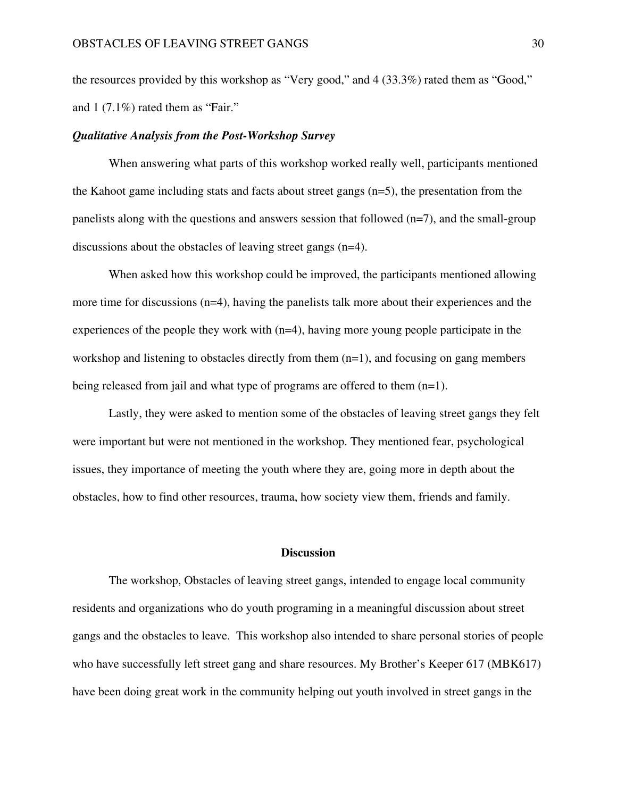the resources provided by this workshop as "Very good," and 4 (33.3%) rated them as "Good," and 1 (7.1%) rated them as "Fair."

### *Qualitative Analysis from the Post-Workshop Survey*

 When answering what parts of this workshop worked really well, participants mentioned the Kahoot game including stats and facts about street gangs (n=5), the presentation from the panelists along with the questions and answers session that followed (n=7), and the small-group discussions about the obstacles of leaving street gangs (n=4).

 When asked how this workshop could be improved, the participants mentioned allowing more time for discussions (n=4), having the panelists talk more about their experiences and the experiences of the people they work with (n=4), having more young people participate in the workshop and listening to obstacles directly from them (n=1), and focusing on gang members being released from jail and what type of programs are offered to them (n=1).

 Lastly, they were asked to mention some of the obstacles of leaving street gangs they felt were important but were not mentioned in the workshop. They mentioned fear, psychological issues, they importance of meeting the youth where they are, going more in depth about the obstacles, how to find other resources, trauma, how society view them, friends and family.

### **Discussion**

 The workshop, Obstacles of leaving street gangs, intended to engage local community residents and organizations who do youth programing in a meaningful discussion about street gangs and the obstacles to leave. This workshop also intended to share personal stories of people who have successfully left street gang and share resources. My Brother's Keeper 617 (MBK617) have been doing great work in the community helping out youth involved in street gangs in the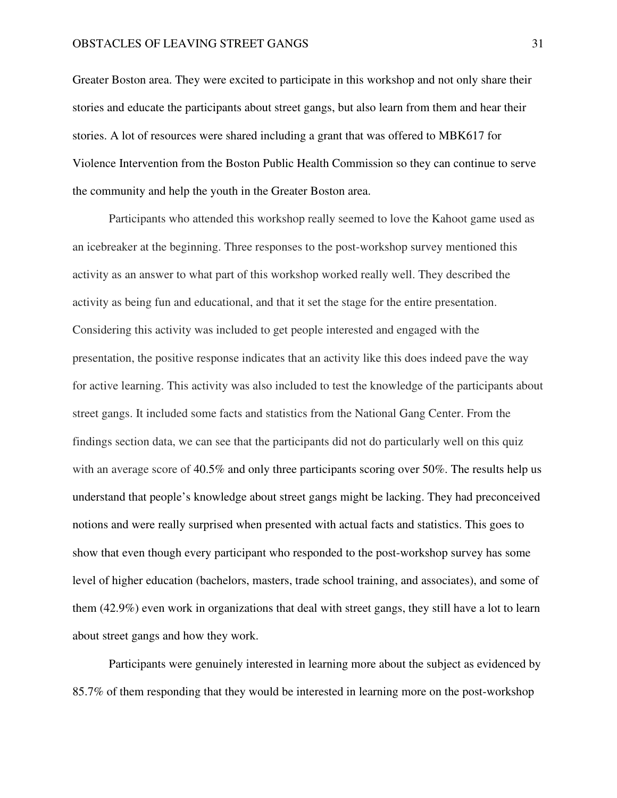Greater Boston area. They were excited to participate in this workshop and not only share their stories and educate the participants about street gangs, but also learn from them and hear their stories. A lot of resources were shared including a grant that was offered to MBK617 for Violence Intervention from the Boston Public Health Commission so they can continue to serve the community and help the youth in the Greater Boston area.

 Participants who attended this workshop really seemed to love the Kahoot game used as an icebreaker at the beginning. Three responses to the post-workshop survey mentioned this activity as an answer to what part of this workshop worked really well. They described the activity as being fun and educational, and that it set the stage for the entire presentation. Considering this activity was included to get people interested and engaged with the presentation, the positive response indicates that an activity like this does indeed pave the way for active learning. This activity was also included to test the knowledge of the participants about street gangs. It included some facts and statistics from the National Gang Center. From the findings section data, we can see that the participants did not do particularly well on this quiz with an average score of 40.5% and only three participants scoring over 50%. The results help us understand that people's knowledge about street gangs might be lacking. They had preconceived notions and were really surprised when presented with actual facts and statistics. This goes to show that even though every participant who responded to the post-workshop survey has some level of higher education (bachelors, masters, trade school training, and associates), and some of them (42.9%) even work in organizations that deal with street gangs, they still have a lot to learn about street gangs and how they work.

 Participants were genuinely interested in learning more about the subject as evidenced by 85.7% of them responding that they would be interested in learning more on the post-workshop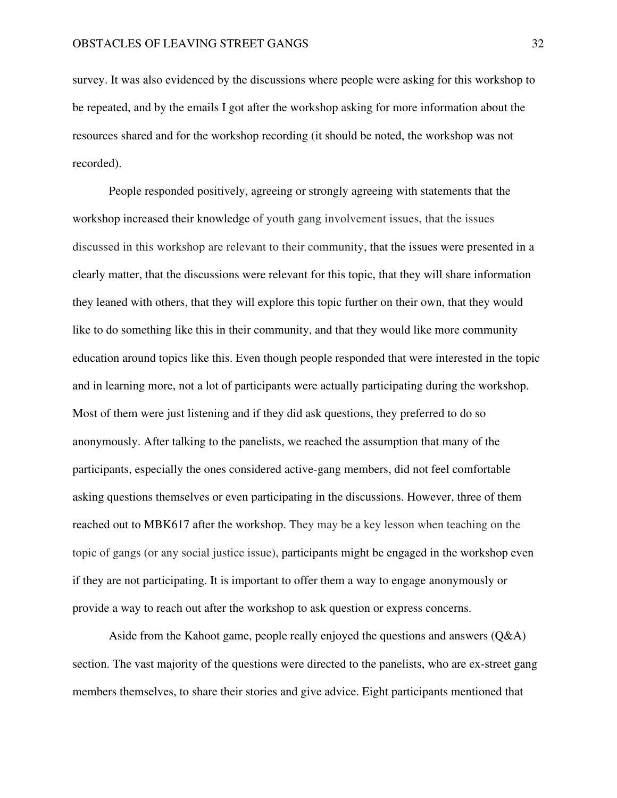survey. It was also evidenced by the discussions where people were asking for this workshop to be repeated, and by the emails I got after the workshop asking for more information about the resources shared and for the workshop recording (it should be noted, the workshop was not recorded).

 People responded positively, agreeing or strongly agreeing with statements that the workshop increased their knowledge of youth gang involvement issues, that the issues discussed in this workshop are relevant to their community, that the issues were presented in a clearly matter, that the discussions were relevant for this topic, that they will share information they leaned with others, that they will explore this topic further on their own, that they would like to do something like this in their community, and that they would like more community education around topics like this. Even though people responded that were interested in the topic and in learning more, not a lot of participants were actually participating during the workshop. Most of them were just listening and if they did ask questions, they preferred to do so anonymously. After talking to the panelists, we reached the assumption that many of the participants, especially the ones considered active-gang members, did not feel comfortable asking questions themselves or even participating in the discussions. However, three of them reached out to MBK617 after the workshop. They may be a key lesson when teaching on the topic of gangs (or any social justice issue), participants might be engaged in the workshop even if they are not participating. It is important to offer them a way to engage anonymously or provide a way to reach out after the workshop to ask question or express concerns.

Aside from the Kahoot game, people really enjoyed the questions and answers  $(Q&A)$ section. The vast majority of the questions were directed to the panelists, who are ex-street gang members themselves, to share their stories and give advice. Eight participants mentioned that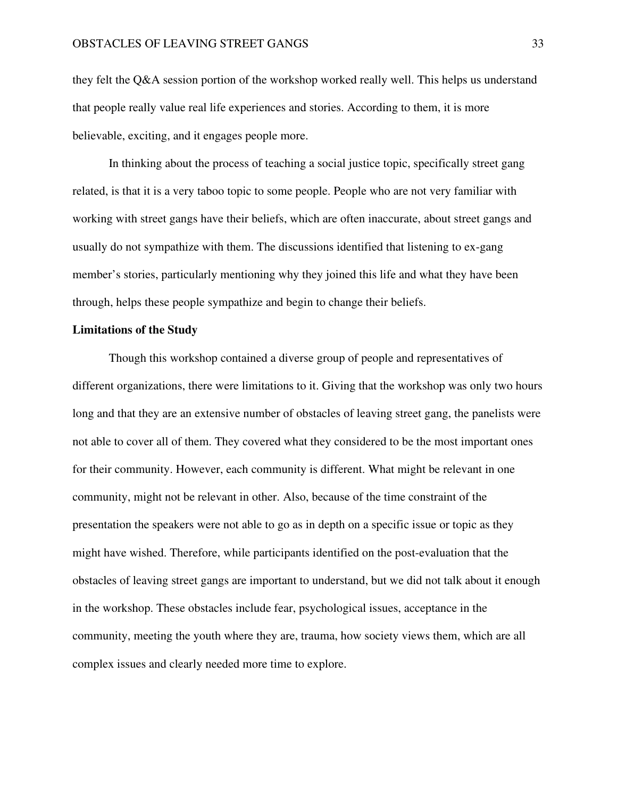they felt the Q&A session portion of the workshop worked really well. This helps us understand that people really value real life experiences and stories. According to them, it is more believable, exciting, and it engages people more.

 In thinking about the process of teaching a social justice topic, specifically street gang related, is that it is a very taboo topic to some people. People who are not very familiar with working with street gangs have their beliefs, which are often inaccurate, about street gangs and usually do not sympathize with them. The discussions identified that listening to ex-gang member's stories, particularly mentioning why they joined this life and what they have been through, helps these people sympathize and begin to change their beliefs.

### **Limitations of the Study**

 Though this workshop contained a diverse group of people and representatives of different organizations, there were limitations to it. Giving that the workshop was only two hours long and that they are an extensive number of obstacles of leaving street gang, the panelists were not able to cover all of them. They covered what they considered to be the most important ones for their community. However, each community is different. What might be relevant in one community, might not be relevant in other. Also, because of the time constraint of the presentation the speakers were not able to go as in depth on a specific issue or topic as they might have wished. Therefore, while participants identified on the post-evaluation that the obstacles of leaving street gangs are important to understand, but we did not talk about it enough in the workshop. These obstacles include fear, psychological issues, acceptance in the community, meeting the youth where they are, trauma, how society views them, which are all complex issues and clearly needed more time to explore.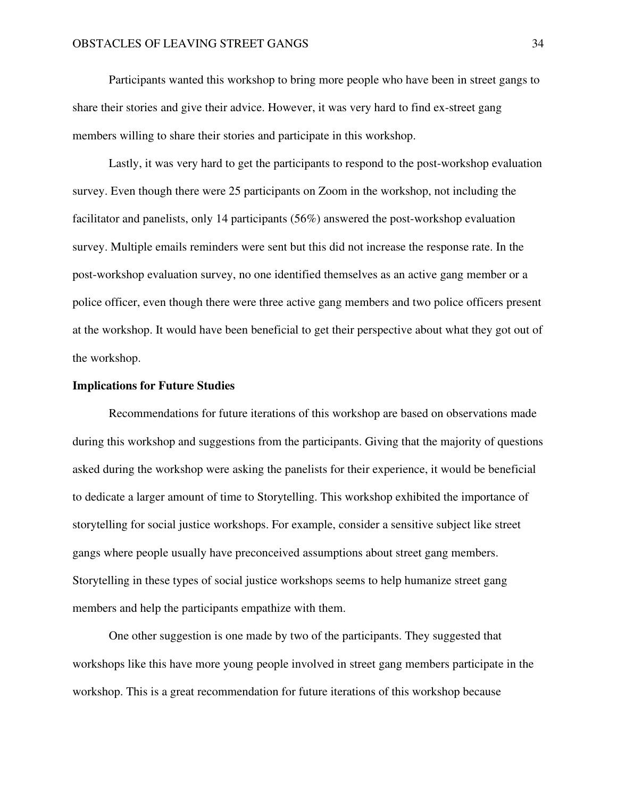Participants wanted this workshop to bring more people who have been in street gangs to share their stories and give their advice. However, it was very hard to find ex-street gang members willing to share their stories and participate in this workshop.

 Lastly, it was very hard to get the participants to respond to the post-workshop evaluation survey. Even though there were 25 participants on Zoom in the workshop, not including the facilitator and panelists, only 14 participants (56%) answered the post-workshop evaluation survey. Multiple emails reminders were sent but this did not increase the response rate. In the post-workshop evaluation survey, no one identified themselves as an active gang member or a police officer, even though there were three active gang members and two police officers present at the workshop. It would have been beneficial to get their perspective about what they got out of the workshop.

### **Implications for Future Studies**

 Recommendations for future iterations of this workshop are based on observations made during this workshop and suggestions from the participants. Giving that the majority of questions asked during the workshop were asking the panelists for their experience, it would be beneficial to dedicate a larger amount of time to Storytelling. This workshop exhibited the importance of storytelling for social justice workshops. For example, consider a sensitive subject like street gangs where people usually have preconceived assumptions about street gang members. Storytelling in these types of social justice workshops seems to help humanize street gang members and help the participants empathize with them.

 One other suggestion is one made by two of the participants. They suggested that workshops like this have more young people involved in street gang members participate in the workshop. This is a great recommendation for future iterations of this workshop because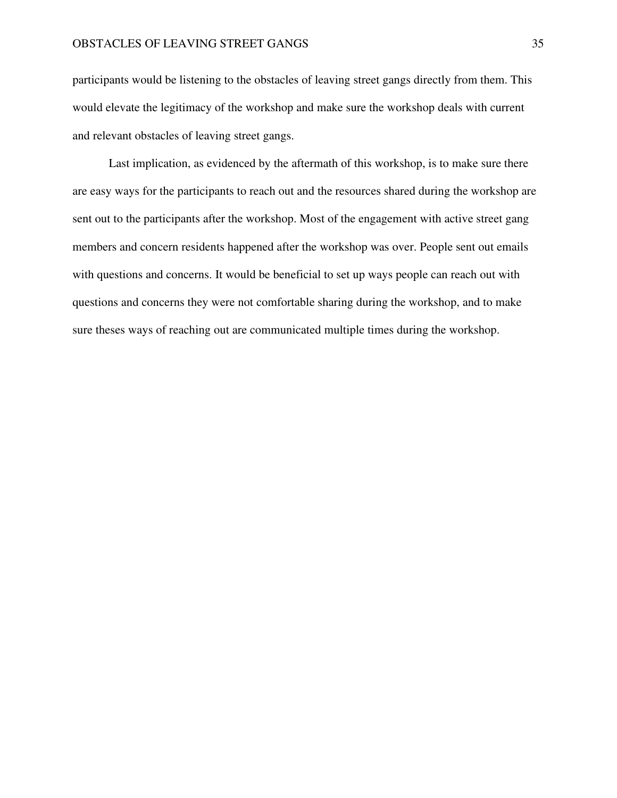participants would be listening to the obstacles of leaving street gangs directly from them. This would elevate the legitimacy of the workshop and make sure the workshop deals with current and relevant obstacles of leaving street gangs.

 Last implication, as evidenced by the aftermath of this workshop, is to make sure there are easy ways for the participants to reach out and the resources shared during the workshop are sent out to the participants after the workshop. Most of the engagement with active street gang members and concern residents happened after the workshop was over. People sent out emails with questions and concerns. It would be beneficial to set up ways people can reach out with questions and concerns they were not comfortable sharing during the workshop, and to make sure theses ways of reaching out are communicated multiple times during the workshop.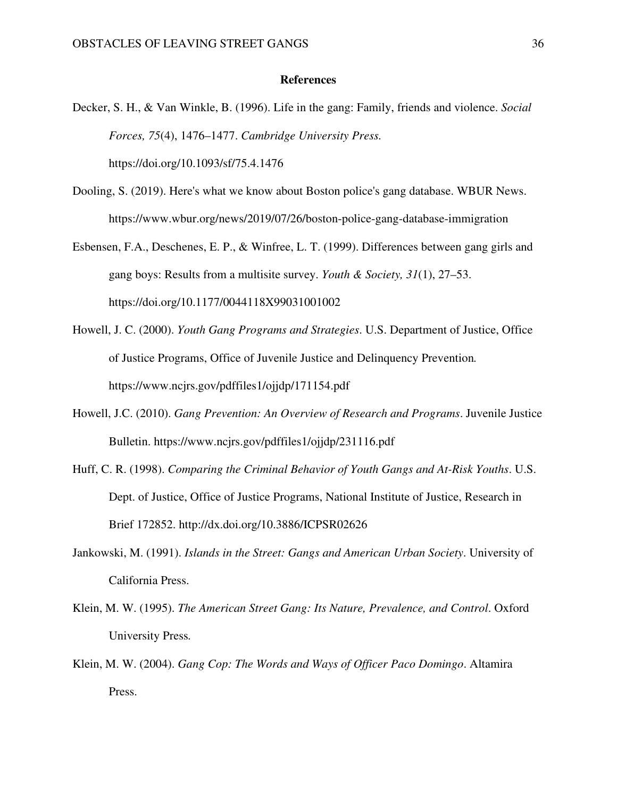### **References**

Decker, S. H., & Van Winkle, B. (1996). Life in the gang: Family, friends and violence. *Social Forces, 75*(4), 1476–1477. *Cambridge University Press.*

https://doi.org/10.1093/sf/75.4.1476

- Dooling, S. (2019). Here's what we know about Boston police's gang database. WBUR News. https://www.wbur.org/news/2019/07/26/boston-police-gang-database-immigration
- Esbensen, F.A., Deschenes, E. P., & Winfree, L. T. (1999). Differences between gang girls and gang boys: Results from a multisite survey. *Youth & Society, 31*(1), 27–53. https://doi.org/10.1177/0044118X99031001002
- Howell, J. C. (2000). *Youth Gang Programs and Strategies*. U.S. Department of Justice, Office of Justice Programs, Office of Juvenile Justice and Delinquency Prevention*.*  https://www.ncjrs.gov/pdffiles1/ojjdp/171154.pdf
- Howell, J.C. (2010). *Gang Prevention: An Overview of Research and Programs*. Juvenile Justice Bulletin. https://www.ncjrs.gov/pdffiles1/ojjdp/231116.pdf
- Huff, C. R. (1998). *Comparing the Criminal Behavior of Youth Gangs and At-Risk Youths*. U.S. Dept. of Justice, Office of Justice Programs, National Institute of Justice, Research in Brief 172852. http://dx.doi.org/10.3886/ICPSR02626
- Jankowski, M. (1991). *Islands in the Street: Gangs and American Urban Society*. University of California Press.
- Klein, M. W. (1995). *The American Street Gang: Its Nature, Prevalence, and Control*. Oxford University Press*.*
- Klein, M. W. (2004). *Gang Cop: The Words and Ways of Officer Paco Domingo*. Altamira Press.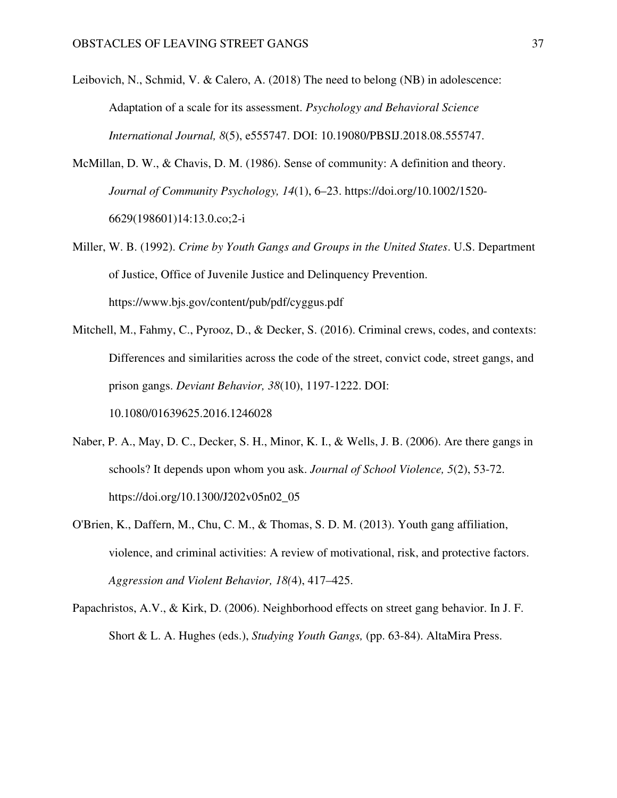- Leibovich, N., Schmid, V. & Calero, A. (2018) The need to belong (NB) in adolescence: Adaptation of a scale for its assessment. *Psychology and Behavioral Science International Journal, 8*(5), e555747. DOI: 10.19080/PBSIJ.2018.08.555747.
- McMillan, D. W., & Chavis, D. M. (1986). Sense of community: A definition and theory. *Journal of Community Psychology, 14*(1), 6–23. https://doi.org/10.1002/1520- 6629(198601)14:13.0.co;2-i
- Miller, W. B. (1992). *Crime by Youth Gangs and Groups in the United States*. U.S. Department of Justice, Office of Juvenile Justice and Delinquency Prevention. https://www.bjs.gov/content/pub/pdf/cyggus.pdf
- Mitchell, M., Fahmy, C., Pyrooz, D., & Decker, S. (2016). Criminal crews, codes, and contexts: Differences and similarities across the code of the street, convict code, street gangs, and prison gangs. *Deviant Behavior, 38*(10), 1197-1222. DOI: 10.1080/01639625.2016.1246028
- Naber, P. A., May, D. C., Decker, S. H., Minor, K. I., & Wells, J. B. (2006). Are there gangs in schools? It depends upon whom you ask. *Journal of School Violence, 5*(2), 53-72. https://doi.org/10.1300/J202v05n02\_05
- O'Brien, K., Daffern, M., Chu, C. M., & Thomas, S. D. M. (2013). Youth gang affiliation, violence, and criminal activities: A review of motivational, risk, and protective factors. *Aggression and Violent Behavior, 18(*4), 417–425.
- Papachristos, A.V., & Kirk, D. (2006). Neighborhood effects on street gang behavior. In J. F. Short & L. A. Hughes (eds.), *Studying Youth Gangs,* (pp. 63-84). AltaMira Press.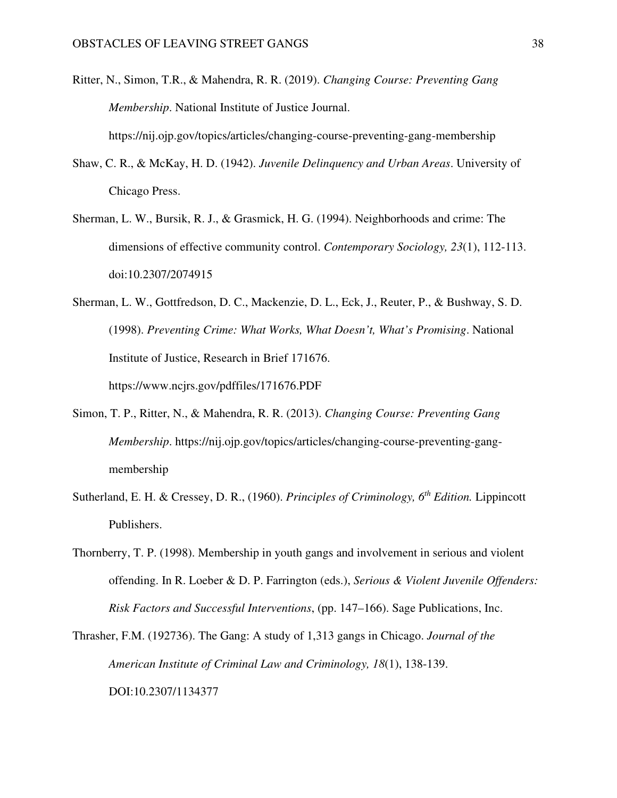- Ritter, N., Simon, T.R., & Mahendra, R. R. (2019). *Changing Course: Preventing Gang Membership*. National Institute of Justice Journal. https://nij.ojp.gov/topics/articles/changing-course-preventing-gang-membership
- Shaw, C. R., & McKay, H. D. (1942). *Juvenile Delinquency and Urban Areas*. University of Chicago Press.
- Sherman, L. W., Bursik, R. J., & Grasmick, H. G. (1994). Neighborhoods and crime: The dimensions of effective community control. *Contemporary Sociology, 23*(1), 112-113. doi:10.2307/2074915
- Sherman, L. W., Gottfredson, D. C., Mackenzie, D. L., Eck, J., Reuter, P., & Bushway, S. D. (1998). *Preventing Crime: What Works, What Doesn't, What's Promising*. National Institute of Justice, Research in Brief 171676. https://www.ncjrs.gov/pdffiles/171676.PDF
- Simon, T. P., Ritter, N., & Mahendra, R. R. (2013). *Changing Course: Preventing Gang Membership*. https://nij.ojp.gov/topics/articles/changing-course-preventing-gangmembership
- Sutherland, E. H. & Cressey, D. R., (1960). *Principles of Criminology, 6th Edition.* Lippincott Publishers.
- Thornberry, T. P. (1998). Membership in youth gangs and involvement in serious and violent offending. In R. Loeber & D. P. Farrington (eds.), *Serious & Violent Juvenile Offenders: Risk Factors and Successful Interventions*, (pp. 147–166). Sage Publications, Inc.
- Thrasher, F.M. (192736). The Gang: A study of 1,313 gangs in Chicago. *Journal of the American Institute of Criminal Law and Criminology, 18*(1), 138-139. DOI:10.2307/1134377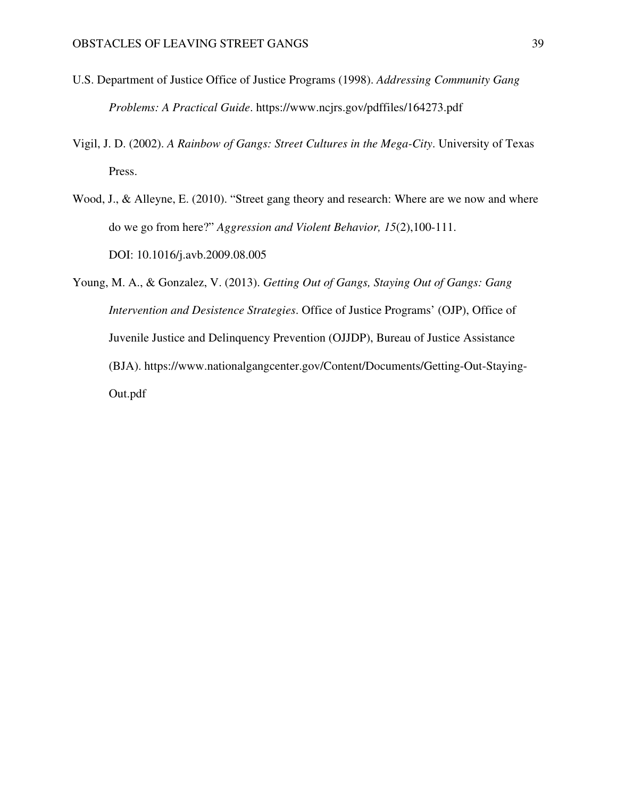- U.S. Department of Justice Office of Justice Programs (1998). *Addressing Community Gang Problems: A Practical Guide*. https://www.ncjrs.gov/pdffiles/164273.pdf
- Vigil, J. D. (2002). *A Rainbow of Gangs: Street Cultures in the Mega-City*. University of Texas Press.
- Wood, J., & Alleyne, E. (2010). "Street gang theory and research: Where are we now and where do we go from here?" *Aggression and Violent Behavior, 15*(2),100-111. DOI: 10.1016/j.avb.2009.08.005
- Young, M. A., & Gonzalez, V. (2013). *Getting Out of Gangs, Staying Out of Gangs: Gang Intervention and Desistence Strategies*. Office of Justice Programs' (OJP), Office of Juvenile Justice and Delinquency Prevention (OJJDP), Bureau of Justice Assistance (BJA). https://www.nationalgangcenter.gov/Content/Documents/Getting-Out-Staying-Out.pdf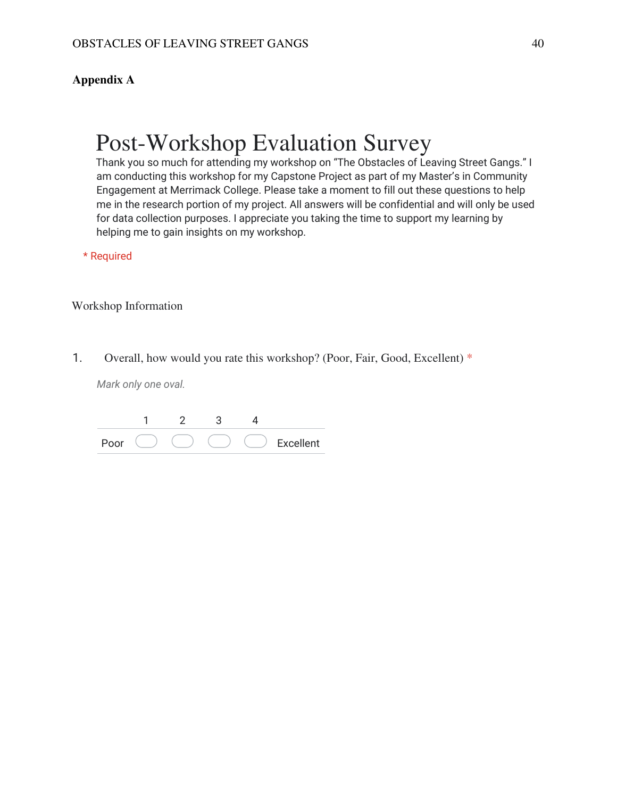### **Appendix A**

# Post-Workshop Evaluation Survey

Thank you so much for attending my workshop on "The Obstacles of Leaving Street Gangs." I am conducting this workshop for my Capstone Project as part of my Master's in Community Engagement at Merrimack College. Please take a moment to fill out these questions to help me in the research portion of my project. All answers will be confidential and will only be used for data collection purposes. I appreciate you taking the time to support my learning by helping me to gain insights on my workshop.

\* Required

Workshop Information

1. Overall, how would you rate this workshop? (Poor, Fair, Good, Excellent) \*

| $'$ nnr |  |  | Excellent |
|---------|--|--|-----------|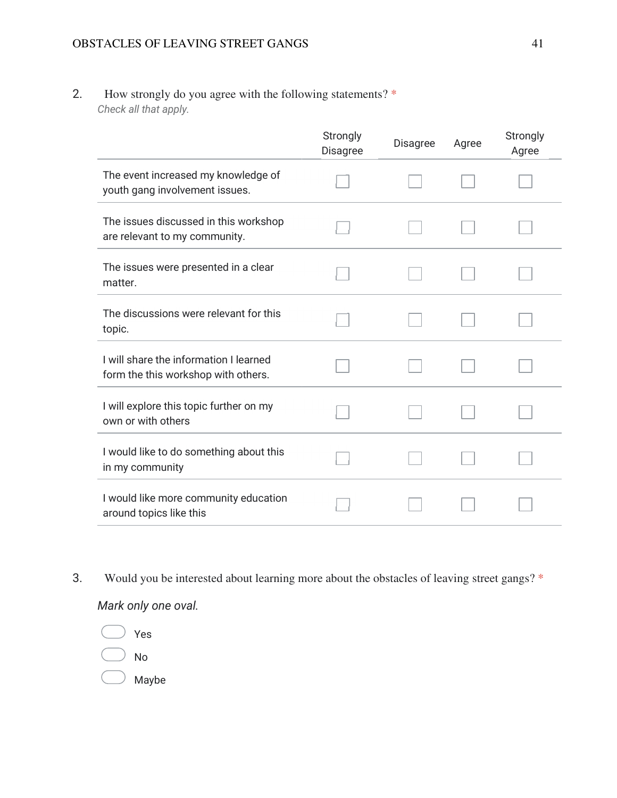2. How strongly do you agree with the following statements? \* *Check all that apply.*

|                                                                               | Strongly<br>Disagree | <b>Disagree</b> | Agree | Strongly<br>Agree |
|-------------------------------------------------------------------------------|----------------------|-----------------|-------|-------------------|
| The event increased my knowledge of<br>youth gang involvement issues.         |                      |                 |       |                   |
| The issues discussed in this workshop<br>are relevant to my community.        |                      |                 |       |                   |
| The issues were presented in a clear<br>matter.                               |                      |                 |       |                   |
| The discussions were relevant for this<br>topic.                              |                      |                 |       |                   |
| I will share the information I learned<br>form the this workshop with others. |                      |                 |       |                   |
| I will explore this topic further on my<br>own or with others                 |                      |                 |       |                   |
| I would like to do something about this<br>in my community                    |                      |                 |       |                   |
| I would like more community education<br>around topics like this              |                      |                 |       |                   |

3. Would you be interested about learning more about the obstacles of leaving street gangs? \*

*Mark only one oval.*

Yes No

Maybe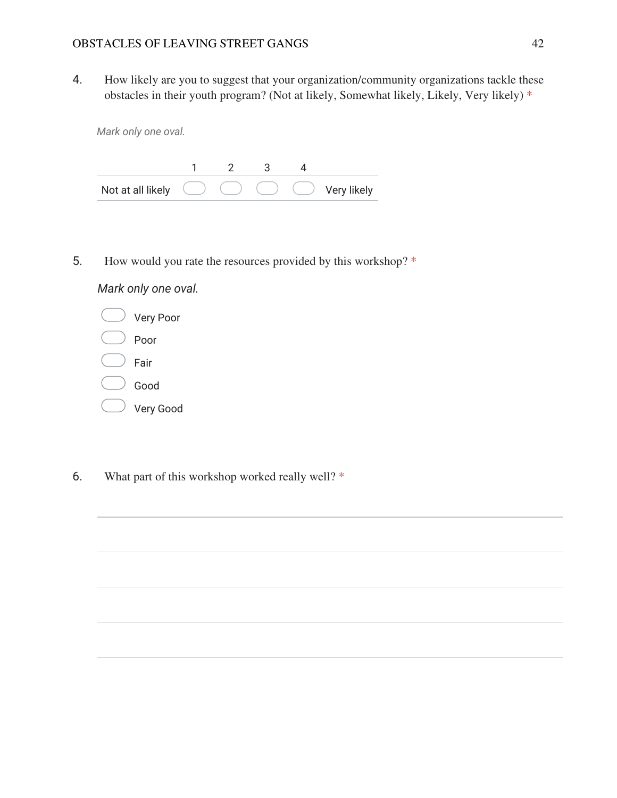4. How likely are you to suggest that your organization/community organizations tackle these obstacles in their youth program? (Not at likely, Somewhat likely, Likely, Very likely) \*

1 2 3 4 Not at all likely  $\bigcirc$   $\bigcirc$   $\bigcirc$   $\bigcirc$  Very likely

5. How would you rate the resources provided by this workshop? \*

*Mark only one oval.*



- Very Good
- 6. What part of this workshop worked really well? \*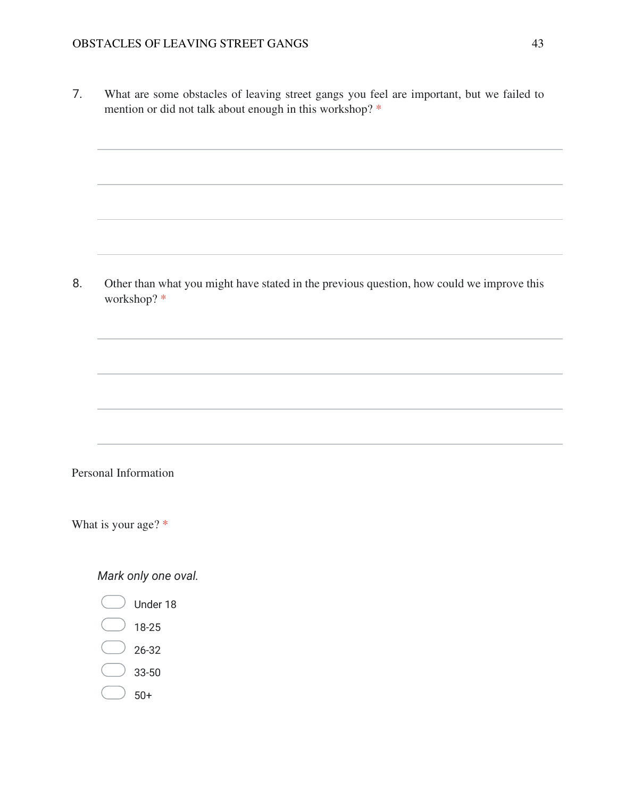7. What are some obstacles of leaving street gangs you feel are important, but we failed to mention or did not talk about enough in this workshop? \*

8. Other than what you might have stated in the previous question, how could we improve this workshop? \*

### Personal Information

What is your age? \*

- Under 18
- 18-25
- 26-32
- 33-50
- 50+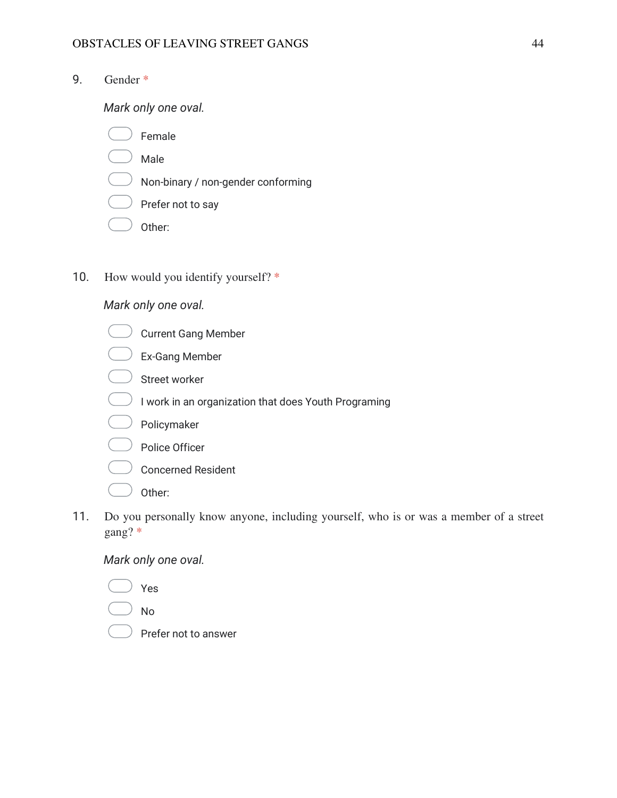9. Gender \*

*Mark only one oval.*

- Female
- $\bigcup$  Male
- $\Box$  Non-binary / non-gender conforming
- $\bigcup$  Prefer not to say
- Other:
- 10. How would you identify yourself? \*

### *Mark only one oval.*

- Current Gang Member
- Ex-Gang Member
- Street worker
- $\bigcirc$  I work in an organization that does Youth Programing
- Policymaker
- $\left.\right)$  Police Officer
- $\sqrt{a}$  Concerned Resident
- Other:
- 11. Do you personally know anyone, including yourself, who is or was a member of a street gang? \*

- Yes
- No
- Prefer not to answer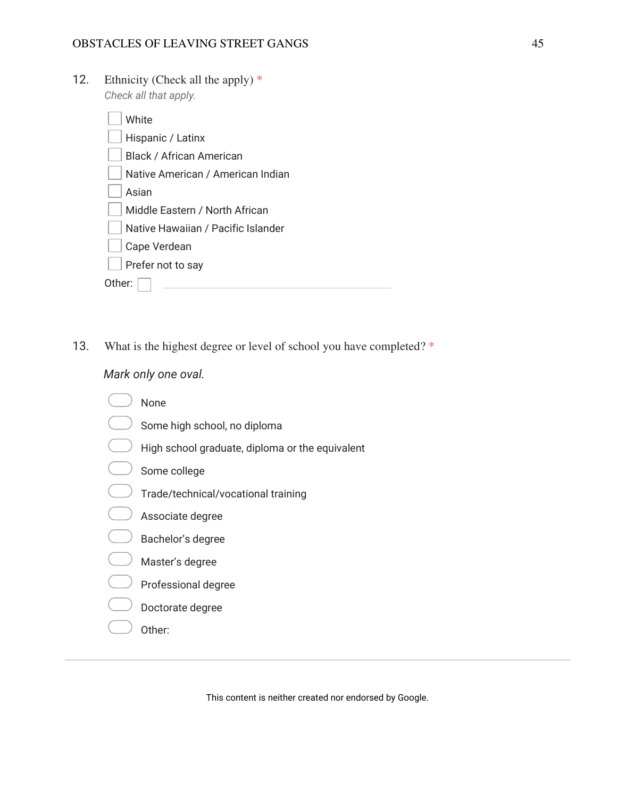12. Ethnicity (Check all the apply)  $*$ *Check all that apply.*

| White                              |
|------------------------------------|
| Hispanic / Latinx                  |
| <b>Black / African American</b>    |
| Native American / American Indian  |
| Asian                              |
| Middle Eastern / North African     |
| Native Hawaiian / Pacific Islander |
| Cape Verdean                       |
| Prefer not to say                  |
| ther <sup>.</sup>                  |

13. What is the highest degree or level of school you have completed? \*

*Mark only one oval.*

- None
- $\bigcirc$  Some high school, no diploma
- $\overline{a}$  $\ell$  High school graduate, diploma or the equivalent
- Some college
- **Trade/technical/vocational training**
- Associate degree
- Bachelor's degree
- Master's degree
- $\bigcirc$  Professional degree
- $\sqrt{ }$  Doctorate degree
- $\sqrt{ }$  Other:

This content is neither created nor endorsed by Google.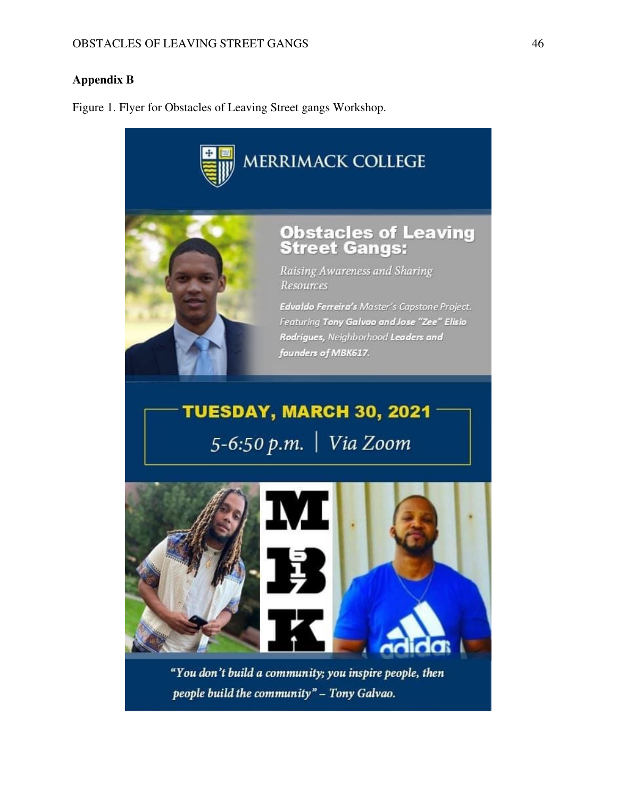### **Appendix B**

Figure 1. Flyer for Obstacles of Leaving Street gangs Workshop.



"You don't build a community; you inspire people, then people build the community" - Tony Galvao.